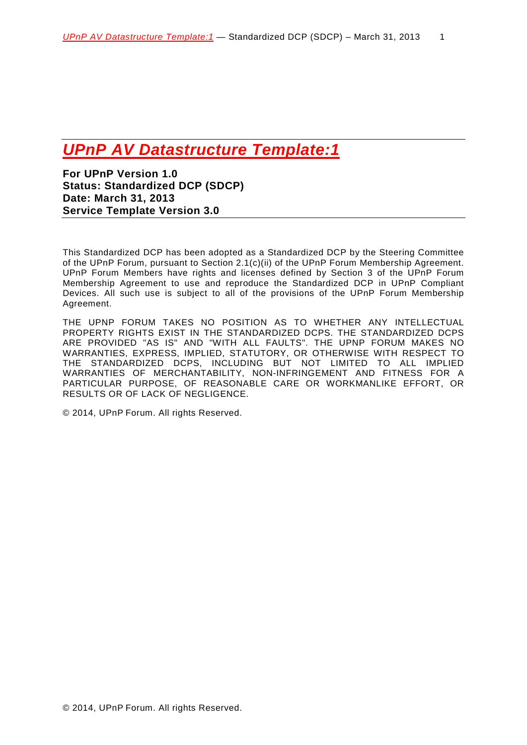# *UPnP AV Datastructure Template:1*

<span id="page-0-1"></span><span id="page-0-0"></span>**For UPnP Version 1.0 Status: Standardized DCP (SDCP) Date: March 31, 2013 Service Template Version 3.0**

This Standardized DCP has been adopted as a Standardized DCP by the Steering Committee of the UPnP Forum, pursuant to Section 2.1(c)(ii) of the UPnP Forum Membership Agreement. UPnP Forum Members have rights and licenses defined by Section 3 of the UPnP Forum Membership Agreement to use and reproduce the Standardized DCP in UPnP Compliant Devices. All such use is subject to all of the provisions of the UPnP Forum Membership Agreement.

THE UPNP FORUM TAKES NO POSITION AS TO WHETHER ANY INTELLECTUAL PROPERTY RIGHTS EXIST IN THE STANDARDIZED DCPS. THE STANDARDIZED DCPS ARE PROVIDED "AS IS" AND "WITH ALL FAULTS". THE UPNP FORUM MAKES NO WARRANTIES, EXPRESS, IMPLIED, STATUTORY, OR OTHERWISE WITH RESPECT TO THE STANDARDIZED DCPS, INCLUDING BUT NOT LIMITED TO ALL IMPLIED WARRANTIES OF MERCHANTABILITY, NON-INFRINGEMENT AND FITNESS FOR A PARTICULAR PURPOSE, OF REASONABLE CARE OR WORKMANLIKE EFFORT, OR RESULTS OR OF LACK OF NEGLIGENCE.

<span id="page-0-2"></span>© 2014, UPnP Forum. All rights Reserved.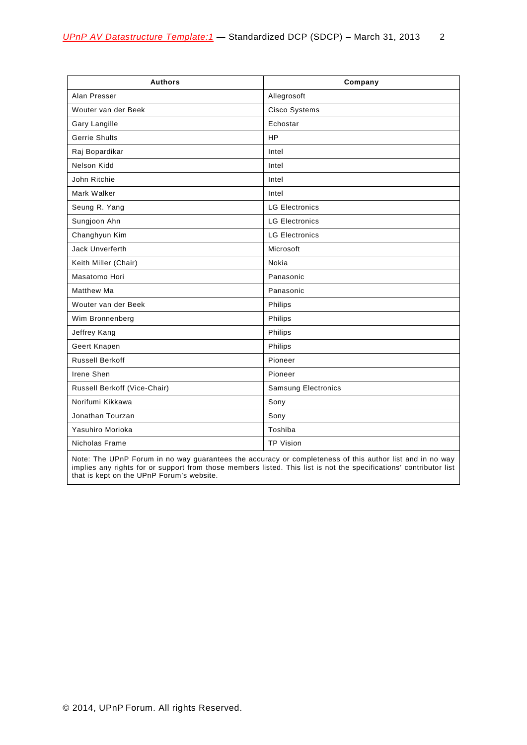| <b>Authors</b>               | Company                    |
|------------------------------|----------------------------|
| Alan Presser                 | Allegrosoft                |
| Wouter van der Beek          | Cisco Systems              |
| Gary Langille                | Echostar                   |
| <b>Gerrie Shults</b>         | <b>HP</b>                  |
| Raj Bopardikar               | Intel                      |
| Nelson Kidd                  | Intel                      |
| John Ritchie                 | Intel                      |
| Mark Walker                  | Intel                      |
| Seung R. Yang                | <b>LG Electronics</b>      |
| Sungjoon Ahn                 | <b>LG Electronics</b>      |
| Changhyun Kim                | <b>LG Electronics</b>      |
| Jack Unverferth              | Microsoft                  |
| Keith Miller (Chair)         | Nokia                      |
| Masatomo Hori                | Panasonic                  |
| <b>Matthew Ma</b>            | Panasonic                  |
| Wouter van der Beek          | Philips                    |
| Wim Bronnenberg              | Philips                    |
| Jeffrey Kang                 | Philips                    |
| Geert Knapen                 | Philips                    |
| <b>Russell Berkoff</b>       | Pioneer                    |
| Irene Shen                   | Pioneer                    |
| Russell Berkoff (Vice-Chair) | <b>Samsung Electronics</b> |
| Norifumi Kikkawa             | Sony                       |
| Jonathan Tourzan             | Sony                       |
| Yasuhiro Morioka             | Toshiba                    |
| Nicholas Frame               | <b>TP Vision</b>           |

Note: The UPnP Forum in no way guarantees the accuracy or completeness of this author list and in no way implies any rights for or support from those members listed. This list is not the specifications' contributor list that is kept on the UPnP Forum's website.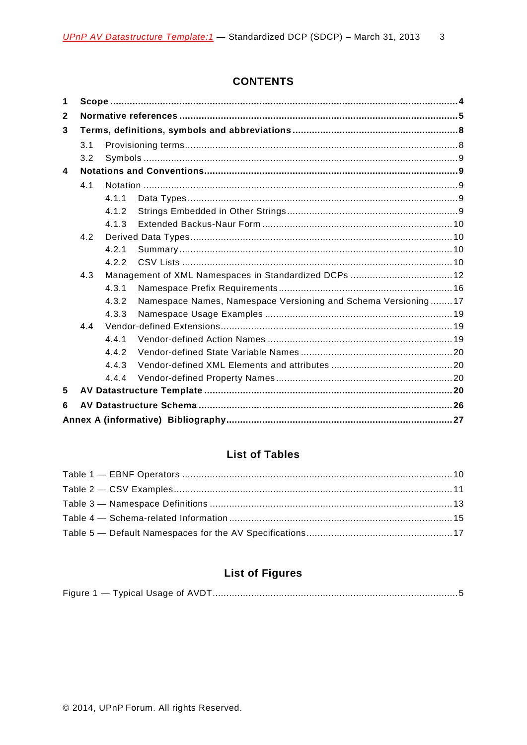# **CONTENTS**

| 1            |     |       |                                                               |  |  |
|--------------|-----|-------|---------------------------------------------------------------|--|--|
| $\mathbf{2}$ |     |       |                                                               |  |  |
| 3            |     |       |                                                               |  |  |
|              | 3.1 |       |                                                               |  |  |
|              | 3.2 |       |                                                               |  |  |
| 4            |     |       |                                                               |  |  |
|              | 4.1 |       |                                                               |  |  |
|              |     | 4.1.1 |                                                               |  |  |
|              |     | 4.1.2 |                                                               |  |  |
|              |     | 4.1.3 |                                                               |  |  |
|              | 4.2 |       |                                                               |  |  |
|              |     | 4.2.1 |                                                               |  |  |
|              |     | 4.2.2 |                                                               |  |  |
|              | 4.3 |       | Management of XML Namespaces in Standardized DCPs  12         |  |  |
|              |     | 4.3.1 |                                                               |  |  |
|              |     | 4.3.2 | Namespace Names, Namespace Versioning and Schema Versioning17 |  |  |
|              |     | 4.3.3 |                                                               |  |  |
|              | 4.4 |       |                                                               |  |  |
|              |     | 4.4.1 |                                                               |  |  |
|              |     | 4.4.2 |                                                               |  |  |
|              |     | 4.4.3 |                                                               |  |  |
|              |     | 4.4.4 |                                                               |  |  |
| 5            |     |       |                                                               |  |  |
| 6            |     |       |                                                               |  |  |
|              |     |       |                                                               |  |  |

# **List of Tables**

# **List of Figures**

|--|--|--|--|--|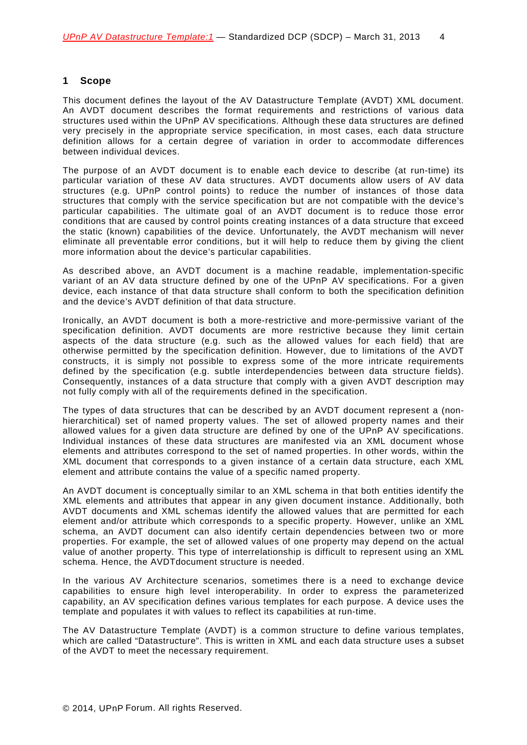### <span id="page-3-0"></span>**1 Scope**

This document defines the layout of the AV Datastructure Template (AVDT) XML document. An AVDT document describes the format requirements and restrictions of various data structures used within the UPnP AV specifications. Although these data structures are defined very precisely in the appropriate service specification, in most cases, each data structure definition allows for a certain degree of variation in order to accommodate differences between individual devices.

The purpose of an AVDT document is to enable each device to describe (at run-time) its particular variation of these AV data structures. AVDT documents allow users of AV data structures (e.g. UPnP control points) to reduce the number of instances of those data structures that comply with the service specification but are not compatible with the device's particular capabilities. The ultimate goal of an AVDT document is to reduce those error conditions that are caused by control points creating instances of a data structure that exceed the static (known) capabilities of the device. Unfortunately, the AVDT mechanism will never eliminate all preventable error conditions, but it will help to reduce them by giving the client more information about the device's particular capabilities.

As described above, an AVDT document is a machine readable, implementation-specific variant of an AV data structure defined by one of the UPnP AV specifications. For a given device, each instance of that data structure shall conform to both the specification definition and the device's AVDT definition of that data structure.

Ironically, an AVDT document is both a more-restrictive and more-permissive variant of the specification definition. AVDT documents are more restrictive because they limit certain aspects of the data structure (e.g. such as the allowed values for each field) that are otherwise permitted by the specification definition. However, due to limitations of the AVDT constructs, it is simply not possible to express some of the more intricate requirements defined by the specification (e.g. subtle interdependencies between data structure fields). Consequently, instances of a data structure that comply with a given AVDT description may not fully comply with all of the requirements defined in the specification.

The types of data structures that can be described by an AVDT document represent a (nonhierarchitical) set of named property values. The set of allowed property names and their allowed values for a given data structure are defined by one of the UPnP AV specifications. Individual instances of these data structures are manifested via an XML document whose elements and attributes correspond to the set of named properties. In other words, within the XML document that corresponds to a given instance of a certain data structure, each XML element and attribute contains the value of a specific named property.

An AVDT document is conceptually similar to an XML schema in that both entities identify the XML elements and attributes that appear in any given document instance. Additionally, both AVDT documents and XML schemas identify the allowed values that are permitted for each element and/or attribute which corresponds to a specific property. However, unlike an XML schema, an AVDT document can also identify certain dependencies between two or more properties. For example, the set of allowed values of one property may depend on the actual value of another property. This type of interrelationship is difficult to represent using an XML schema. Hence, the AVDTdocument structure is needed.

In the various AV Architecture scenarios, sometimes there is a need to exchange device capabilities to ensure high level interoperability. In order to express the parameterized capability, an AV specification defines various templates for each purpose. A device uses the template and populates it with values to reflect its capabilities at run-time.

The AV Datastructure Template (AVDT) is a common structure to define various templates, which are called "Datastructure". This is written in XML and each data structure uses a subset of the AVDT to meet the necessary requirement.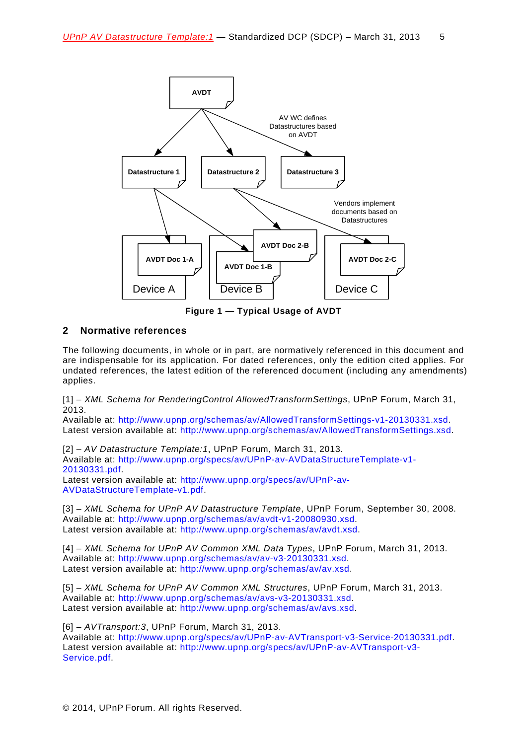

**Figure 1 — Typical Usage of AVDT**

## <span id="page-4-0"></span>**2 Normative references**

The following documents, in whole or in part, are normatively referenced in this document and are indispensable for its application. For dated references, only the edition cited applies. For undated references, the latest edition of the referenced document (including any amendments) applies.

<span id="page-4-5"></span>[1] – *XML Schema for RenderingControl AllowedTransformSettings*, UPnP Forum, March 31, 2013.

Available at: [http://www.upnp.org/schemas/av/AllowedTransformSettings-v1-20130331.xsd.](http://www.upnp.org/schemas/av/AllowedTransformSettings-v1-20130331.xsd) Latest version available at: [http://www.upnp.org/schemas/av/AllowedTransformSettings.xsd.](http://www.upnp.org/schemas/av/AllowedTransformSettings.xsd)

<span id="page-4-2"></span>[2] – *AV Datastructure Template:1*, UPnP Forum, March 31, 2013. Available at: [http://www.upnp.org/specs/av/UPnP-av-AVDataStructureTemplate-v1-](http://www.upnp.org/specs/av/UPnP-av-AVDataStructureTemplate-v1-20101231.pdf) [20130331.pdf.](http://www.upnp.org/specs/av/UPnP-av-AVDataStructureTemplate-v1-20101231.pdf) Latest version available at: [http://www.upnp.org/specs/av/UPnP-av-](http://www.upnp.org/specs/av/UPnP-av-AVDataStructure-v1.pdf)

[AVDataStructureTemplate-v1.pdf.](http://www.upnp.org/specs/av/UPnP-av-AVDataStructure-v1.pdf)

<span id="page-4-6"></span>[3] – *XML Schema for UPnP AV Datastructure Template*, UPnP Forum, September 30, 2008. Available at: [http://www.upnp.org/schemas/av/avdt-v1-20080930.xsd.](http://www.upnp.org/schemas/av/avdt-v1-20071231.xsd) Latest version available at: [http://www.upnp.org/schemas/av/avdt.xsd.](http://www.upnp.org/schemas/av/avdt.xsd)

<span id="page-4-1"></span>[4] – *XML Schema for UPnP AV Common XML Data Types*, UPnP Forum, March 31, 2013. Available at: [http://www.upnp.org/schemas/av/av-v3-20130331.xsd.](http://www.upnp.org/schemas/av/av-v3-20130331.xsd) Latest version available at: [http://www.upnp.org/schemas/av/av.xsd.](http://www.upnp.org/schemas/av/av.xsd)

<span id="page-4-3"></span>[5] – *XML Schema for UPnP AV Common XML Structures*, UPnP Forum, March 31, 2013. Available at: [http://www.upnp.org/schemas/av/avs-v3-20130331.xsd.](http://www.upnp.org/schemas/av/avs-v3-20130331.xsd) Latest version available at: [http://www.upnp.org/schemas/av/avs.xsd.](http://www.upnp.org/schemas/av/avs.xsd)

<span id="page-4-4"></span>[6] – *AVTransport:3*, UPnP Forum, March 31, 2013.

Available at: [http://www.upnp.org/specs/av/UPnP-av-AVTransport-v3-Service-20130331.pdf.](http://www.upnp.org/specs/av/UPnP-av-AVTransport-v3-Service-20101231.pdf) Latest version available at: [http://www.upnp.org/specs/av/UPnP-av-AVTransport-v3-](http://www.upnp.org/specs/av/UPnP-av-AVTransport-v3-Service.pdf) [Service.pdf.](http://www.upnp.org/specs/av/UPnP-av-AVTransport-v3-Service.pdf)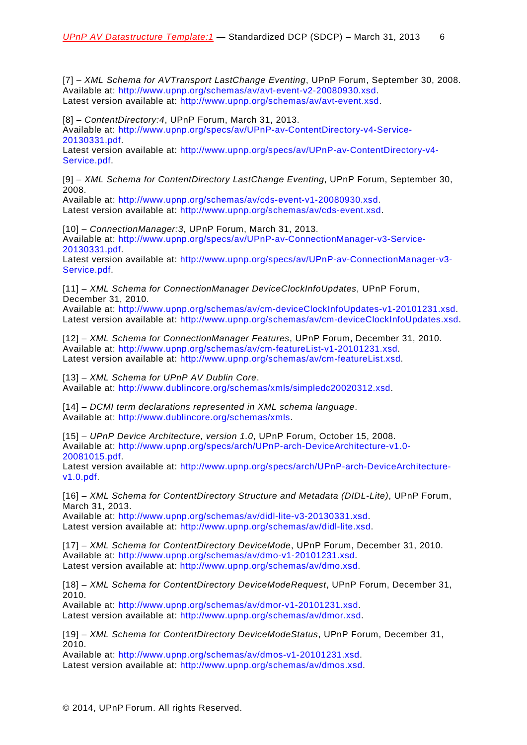<span id="page-5-4"></span>[7] – *XML Schema for AVTransport LastChange Eventing*, UPnP Forum, September 30, 2008. Available at: [http://www.upnp.org/schemas/av/avt-event-v2-20080930.xsd.](http://www.upnp.org/schemas/av/avt-event-v2-20080930.xsd) Latest version available at: [http://www.upnp.org/schemas/av/avt-event.xsd.](http://www.upnp.org/schemas/av/avt-event.xsd)

<span id="page-5-1"></span>[8] – *ContentDirectory:4*, UPnP Forum, March 31, 2013. Available at: [http://www.upnp.org/specs/av/UPnP-av-ContentDirectory-v4-Service-](http://www.upnp.org/specs/av/UPnP-av-ContentDirectory-v4-Service-20101231.pdf)[20130331.pdf.](http://www.upnp.org/specs/av/UPnP-av-ContentDirectory-v4-Service-20101231.pdf)

Latest version available at: [http://www.upnp.org/specs/av/UPnP-av-ContentDirectory-v4-](http://www.upnp.org/specs/av/UPnP-av-ContentDirectory-v4-Service.pdf) [Service.pdf.](http://www.upnp.org/specs/av/UPnP-av-ContentDirectory-v4-Service.pdf)

<span id="page-5-5"></span>[9] – *XML Schema for ContentDirectory LastChange Eventing*, UPnP Forum, September 30, 2008.

Available at: [http://www.upnp.org/schemas/av/cds-event-v1-20080930.xsd.](http://www.upnp.org/schemas/av/cds-event-v1-20080930.xsd) Latest version available at: [http://www.upnp.org/schemas/av/cds-event.xsd.](http://www.upnp.org/schemas/av/cds-event.xsd)

<span id="page-5-2"></span>[10] – *ConnectionManager:3*, UPnP Forum, March 31, 2013. Available at: [http://www.upnp.org/specs/av/UPnP-av-ConnectionManager-v3-Service-](http://www.upnp.org/specs/av/UPnP-av-ConnectionManager-v3-Service-20101231.pdf)[20130331.pdf.](http://www.upnp.org/specs/av/UPnP-av-ConnectionManager-v3-Service-20101231.pdf)

Latest version available at: [http://www.upnp.org/specs/av/UPnP-av-ConnectionManager-v3-](http://www.upnp.org/specs/av/UPnP-av-ConnectionManager-v3-Service.pdf) [Service.pdf.](http://www.upnp.org/specs/av/UPnP-av-ConnectionManager-v3-Service.pdf)

<span id="page-5-6"></span>[11] – *XML Schema for ConnectionManager DeviceClockInfoUpdates*, UPnP Forum, December 31, 2010.

Available at: [http://www.upnp.org/schemas/av/cm-deviceClockInfoUpdates-v1-20101231.xsd.](http://www.upnp.org/schemas/av/cm-deviceClockInfoUpdates-v1-20101231.xsd) Latest version available at: [http://www.upnp.org/schemas/av/cm-deviceClockInfoUpdates.xsd.](http://www.upnp.org/schemas/av/cm-deviceClockInfoUpdates.xsd)

<span id="page-5-7"></span>[12] – *XML Schema for ConnectionManager Features*, UPnP Forum, December 31, 2010. Available at: [http://www.upnp.org/schemas/av/cm-featureList-v1-20101231.xsd.](http://www.upnp.org/schemas/av/cm-featureList-v1-20101231.xsd) Latest version available at: [http://www.upnp.org/schemas/av/cm-featureList.xsd.](http://www.upnp.org/schemas/av/cm-featureList.xsd)

<span id="page-5-12"></span>[13] – *XML Schema for UPnP AV Dublin Core*. Available at: [http://www.dublincore.org/schemas/xmls/simpledc20020312.xsd.](http://www.dublincore.org/schemas/xmls/simpledc20020312.xsd)

<span id="page-5-3"></span>[14] – *DCMI term declarations represented in XML schema language*. Available at: [http://www.dublincore.org/schemas/xmls.](http://www.dublincore.org/schemas/xmls/)

<span id="page-5-0"></span>[15] – *UPnP Device Architecture, version 1.0*, UPnP Forum, October 15, 2008. Available at: [http://www.upnp.org/specs/arch/UPnP-arch-DeviceArchitecture-v1.0-](http://www.upnp.org/specs/arch/UPnP-arch-DeviceArchitecture-v1.0-20081015.pdf) [20081015.pdf.](http://www.upnp.org/specs/arch/UPnP-arch-DeviceArchitecture-v1.0-20081015.pdf)

Latest version available at: [http://www.upnp.org/specs/arch/UPnP-arch-DeviceArchitecture](http://www.upnp.org/specs/arch/UPnP-arch-DeviceArchitecture-v1.0.pdf)[v1.0.pdf.](http://www.upnp.org/specs/arch/UPnP-arch-DeviceArchitecture-v1.0.pdf)

<span id="page-5-8"></span>[16] – *XML Schema for ContentDirectory Structure and Metadata (DIDL-Lite)*, UPnP Forum, March 31, 2013.

Available at: [http://www.upnp.org/schemas/av/didl-lite-v3-20130331.xsd.](http://www.upnp.org/schemas/av/didl-lite-v3-20130331.xsd) Latest version available at: [http://www.upnp.org/schemas/av/didl-lite.xsd.](http://www.upnp.org/schemas/av/didl-lite.xsd)

<span id="page-5-9"></span>[17] – *XML Schema for ContentDirectory DeviceMode*, UPnP Forum, December 31, 2010. Available at: [http://www.upnp.org/schemas/av/dmo-v1-20101231.xsd.](http://www.upnp.org/schemas/av/dmo-v1-20101231.xsd) Latest version available at: [http://www.upnp.org/schemas/av/dmo.xsd.](http://www.upnp.org/schemas/av/dmo.xsd)

<span id="page-5-10"></span>[18] – *XML Schema for ContentDirectory DeviceModeRequest*, UPnP Forum, December 31, 2010.

Available at: [http://www.upnp.org/schemas/av/dmor-v1-20101231.xsd.](http://www.upnp.org/schemas/av/dmor-v1-20101231.xsd) Latest version available at: [http://www.upnp.org/schemas/av/dmor.xsd.](http://www.upnp.org/schemas/av/dmor.xsd)

<span id="page-5-11"></span>[19] – *XML Schema for ContentDirectory DeviceModeStatus*, UPnP Forum, December 31, 2010.

Available at: [http://www.upnp.org/schemas/av/dmos-v1-20101231.xsd.](http://www.upnp.org/schemas/av/dmos-v1-20101231.xsd) Latest version available at: [http://www.upnp.org/schemas/av/dmos.xsd.](http://www.upnp.org/schemas/av/dmos.xsd)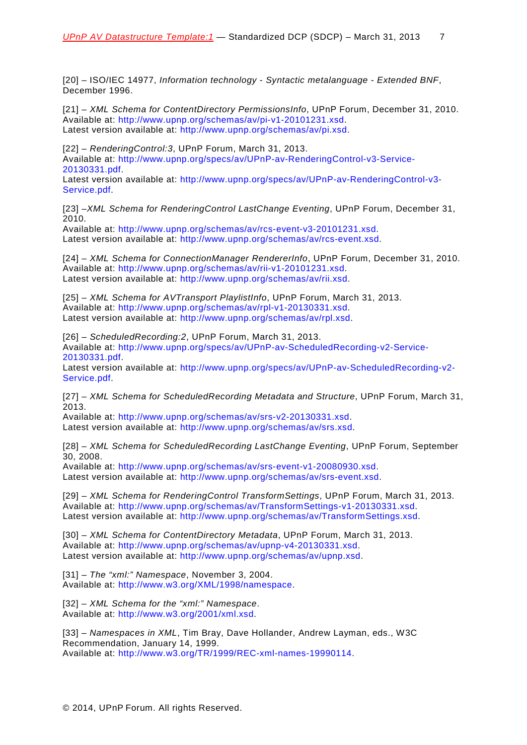<span id="page-6-0"></span>[20] – ISO/IEC 14977, *Information technology - Syntactic metalanguage - Extended BNF*, December 1996.

<span id="page-6-5"></span>[21] – *XML Schema for ContentDirectory PermissionsInfo*, UPnP Forum, December 31, 2010. Available at: [http://www.upnp.org/schemas/av/pi-v1-20101231.xsd.](http://www.upnp.org/schemas/av/pi-v1-20101231.xsd) Latest version available at: [http://www.upnp.org/schemas/av/pi.xsd.](http://www.upnp.org/schemas/av/pi.xsd)

<span id="page-6-2"></span>[22] – *RenderingControl:3*, UPnP Forum, March 31, 2013. Available at: [http://www.upnp.org/specs/av/UPnP-av-RenderingControl-v3-Service-](http://www.upnp.org/specs/av/UPnP-av-RenderingControl-v3-Service-20101231.pdf)[20130331.pdf.](http://www.upnp.org/specs/av/UPnP-av-RenderingControl-v3-Service-20101231.pdf)

Latest version available at: [http://www.upnp.org/specs/av/UPnP-av-RenderingControl-v3-](http://www.upnp.org/specs/av/UPnP-av-RenderingControl-v3-Service.pdf) [Service.pdf.](http://www.upnp.org/specs/av/UPnP-av-RenderingControl-v3-Service.pdf)

<span id="page-6-6"></span>[23] –*XML Schema for RenderingControl LastChange Eventing*, UPnP Forum, December 31, 2010.

Available at: [http://www.upnp.org/schemas/av/rcs-event-v3-20101231.xsd.](http://www.upnp.org/schemas/av/rcs-event-v3-20101231.xsd) Latest version available at: [http://www.upnp.org/schemas/av/rcs-event.xsd.](http://www.upnp.org/schemas/av/rcs-event.xsd)

<span id="page-6-7"></span>[24] – *XML Schema for ConnectionManager RendererInfo*, UPnP Forum, December 31, 2010. Available at: [http://www.upnp.org/schemas/av/rii-v1-20101231.xsd.](http://www.upnp.org/schemas/av/rii-v1-20101231.xsd) Latest version available at: [http://www.upnp.org/schemas/av/rii.xsd.](http://www.upnp.org/schemas/av/rii.xsd)

<span id="page-6-8"></span>[25] – *XML Schema for AVTransport PlaylistInfo*, UPnP Forum, March 31, 2013. Available at: [http://www.upnp.org/schemas/av/rpl-v1-20130331.xsd.](http://www.upnp.org/schemas/av/rpl-v1-20130331.xsd) Latest version available at: [http://www.upnp.org/schemas/av/rpl.xsd.](http://www.upnp.org/schemas/av/rpl.xsd)

<span id="page-6-3"></span>[26] – *ScheduledRecording:2*, UPnP Forum, March 31, 2013. Available at: [http://www.upnp.org/specs/av/UPnP-av-ScheduledRecording-v2-Service-](http://www.upnp.org/specs/av/UPnP-av-ScheduledRecording-v2-Service-20101231.pdf)[20130331.pdf.](http://www.upnp.org/specs/av/UPnP-av-ScheduledRecording-v2-Service-20101231.pdf)

Latest version available at: [http://www.upnp.org/specs/av/UPnP-av-ScheduledRecording-v2-](http://www.upnp.org/specs/av/UPnP-av-ScheduledRecording-v2-Service.pdf) [Service.pdf.](http://www.upnp.org/specs/av/UPnP-av-ScheduledRecording-v2-Service.pdf)

<span id="page-6-10"></span>[27] – *XML Schema for ScheduledRecording Metadata and Structure*, UPnP Forum, March 31, 2013.

Available at: [http://www.upnp.org/schemas/av/srs-v2-20130331.xsd.](http://www.upnp.org/schemas/av/srs-v2-20130331.xsd) Latest version available at: [http://www.upnp.org/schemas/av/srs.xsd.](http://www.upnp.org/schemas/av/srs.xsd)

<span id="page-6-11"></span>[28] – *XML Schema for ScheduledRecording LastChange Eventing*, UPnP Forum, September 30, 2008.

Available at: [http://www.upnp.org/schemas/av/srs-event-v1-20080930.xsd.](http://www.upnp.org/schemas/av/srs-event-v1-20080930.xsd) Latest version available at: [http://www.upnp.org/schemas/av/srs-event.xsd.](http://www.upnp.org/schemas/av/srs-event.xsd)

<span id="page-6-9"></span>[29] – *XML Schema for RenderingControl TransformSettings*, UPnP Forum, March 31, 2013. Available at: [http://www.upnp.org/schemas/av/TransformSettings-v1-20130331.xsd.](http://www.upnp.org/schemas/av/TransformSettings-v1-20130331.xsd) Latest version available at: [http://www.upnp.org/schemas/av/TransformSettings.xsd.](http://www.upnp.org/schemas/av/TransformSettings.xsd)

<span id="page-6-12"></span>[30] – *XML Schema for ContentDirectory Metadata*, UPnP Forum, March 31, 2013. Available at: [http://www.upnp.org/schemas/av/upnp-v4-20130331.xsd.](http://www.upnp.org/schemas/av/upnp-v4-20130331.xsd) Latest version available at: [http://www.upnp.org/schemas/av/upnp.xsd.](http://www.upnp.org/schemas/av/upnp.xsd)

<span id="page-6-4"></span>[31] – *The "xml:" Namespace*, November 3, 2004. Available at: [http://www.w3.org/XML/1998/namespace.](http://www.w3.org/XML/1998/namespace)

<span id="page-6-13"></span>[32] – *XML Schema for the "xml:" Namespace*. Available at: [http://www.w3.org/2001/xml.xsd.](http://www.w3.org/2001/xml.xsd)

<span id="page-6-1"></span>[33] – *Namespaces in XML*, Tim Bray, Dave Hollander, Andrew Layman, eds., W3C Recommendation, January 14, 1999. Available at: [http://www.w3.org/TR/1999/REC-xml-names-19990114.](http://www.w3.org/TR/1999/REC-xml-names-19990114)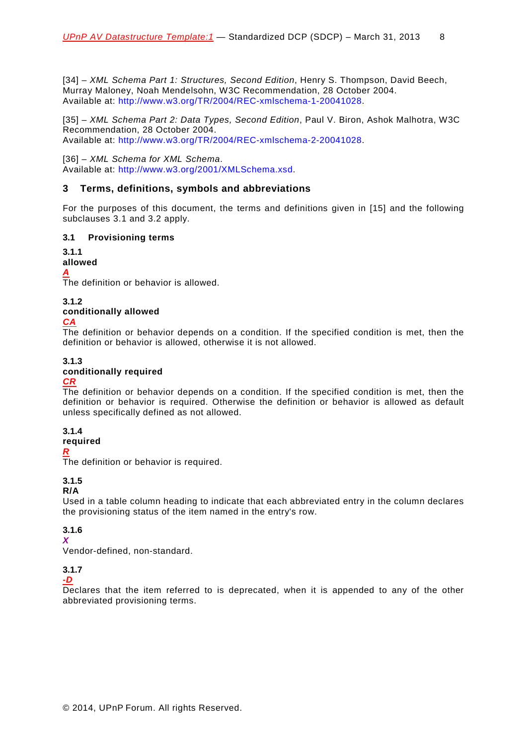<span id="page-7-3"></span>[34] – *XML Schema Part 1: Structures, Second Edition*, Henry S. Thompson, David Beech, Murray Maloney, Noah Mendelsohn, W3C Recommendation, 28 October 2004. Available at: [http://www.w3.org/TR/2004/REC-xmlschema-1-20041028.](http://www.w3.org/TR/2004/REC-xmlschema-1-20041028/)

<span id="page-7-2"></span>[35] – *XML Schema Part 2: Data Types, Second Edition*, Paul V. Biron, Ashok Malhotra, W3C Recommendation, 28 October 2004. Available at: [http://www.w3.org/TR/2004/REC-xmlschema-2-20041028.](http://www.w3.org/TR/2004/REC-xmlschema-2-20041028/)

<span id="page-7-4"></span>[36] – *XML Schema for XML Schema*. Available at: [http://www.w3.org/2001/XMLSchema.xsd.](http://www.w3.org/2001/XMLSchema.xsd)

### <span id="page-7-0"></span>**3 Terms, definitions, symbols and abbreviations**

For the purposes of this document, the terms and definitions given in [\[15\]](#page-5-0) and the following subclauses [3.1](#page-7-1) and [3.2](#page-8-0) apply.

### <span id="page-7-1"></span>**3.1 Provisioning terms**

# **3.1.1**

## **allowed**

*A*

The definition or behavior is allowed.

**3.1.2**

### **conditionally allowed**

### *CA*

The definition or behavior depends on a condition. If the specified condition is met, then the definition or behavior is allowed, otherwise it is not allowed.

# **3.1.3**

### **conditionally required**

### *CR*

The definition or behavior depends on a condition. If the specified condition is met, then the definition or behavior is required. Otherwise the definition or behavior is allowed as default unless specifically defined as not allowed.

### **3.1.4**

## **required**

*R*

The definition or behavior is required.

# **3.1.5**

### **R/A**

Used in a table column heading to indicate that each abbreviated entry in the column declares the provisioning status of the item named in the entry's row.

# **3.1.6**

# *X*

Vendor-defined, non-standard.

### **3.1.7**

### *-D*

Declares that the item referred to is deprecated, when it is appended to any of the other abbreviated provisioning terms.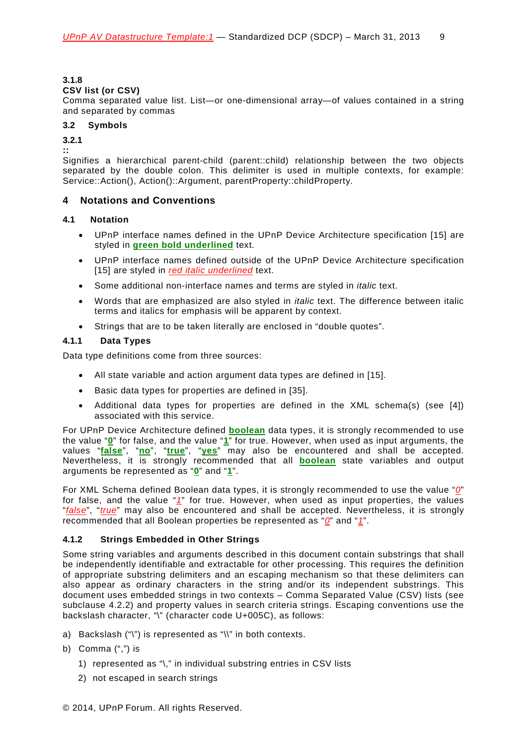### **3.1.8**

### **CSV list (or CSV)**

Comma separated value list. List—or one-dimensional array—of values contained in a string and separated by commas

### <span id="page-8-0"></span>**3.2 Symbols**

**3.2.1**

**::** 

Signifies a hierarchical parent-child (parent::child) relationship between the two objects separated by the double colon. This delimiter is used in multiple contexts, for example: Service::Action(), Action()::Argument, parentProperty::childProperty.

### <span id="page-8-1"></span>**4 Notations and Conventions**

### <span id="page-8-2"></span>**4.1 Notation**

- UPnP interface names defined in the UPnP Device Architecture specification [\[15\]](#page-5-0) are styled in **green bold underlined** text.
- UPnP interface names defined outside of the UPnP Device Architecture specification [\[15\]](#page-5-0) are styled in *red italic underlined* text.
- Some additional non-interface names and terms are styled in *italic* text.
- Words that are emphasized are also styled in *italic* text. The difference between italic terms and italics for emphasis will be apparent by context.
- Strings that are to be taken literally are enclosed in "double quotes".

### <span id="page-8-3"></span>**4.1.1 Data Types**

Data type definitions come from three sources:

- All state variable and action argument data types are defined in [\[15\]](#page-5-0).
- Basic data types for properties are defined in [\[35\]](#page-7-2).
- Additional data types for properties are defined in the XML schema(s) (see [\[4\]](#page-4-1)) associated with this service.

For UPnP Device Architecture defined **boolean** data types, it is strongly recommended to use the value "**0**" for false, and the value "**1**" for true. However, when used as input arguments, the values "**false**", "**no**", "**true**", "**yes**" may also be encountered and shall be accepted. Nevertheless, it is strongly recommended that all **boolean** state variables and output arguments be represented as "**0**" and "**1**".

For XML Schema defined Boolean data types, it is strongly recommended to use the value "*0*" for false, and the value "*1*" for true. However, when used as input properties, the values "*false*", "*true*" may also be encountered and shall be accepted. Nevertheless, it is strongly recommended that all Boolean properties be represented as "*0*" and "*1*".

### <span id="page-8-4"></span>**4.1.2 Strings Embedded in Other Strings**

Some string variables and arguments described in this document contain substrings that shall be independently identifiable and extractable for other processing. This requires the definition of appropriate substring delimiters and an escaping mechanism so that these delimiters can also appear as ordinary characters in the string and/or its independent substrings. This document uses embedded strings in two contexts – Comma Separated Value (CSV) lists (see subclause [4.2.2\)](#page-9-3) and property values in search criteria strings. Escaping conventions use the backslash character, "\" (character code U+005C), as follows:

- a) Backslash ("\") is represented as "\\" in both contexts.
- b) Comma (",") is
	- 1) represented as "\," in individual substring entries in CSV lists
	- 2) not escaped in search strings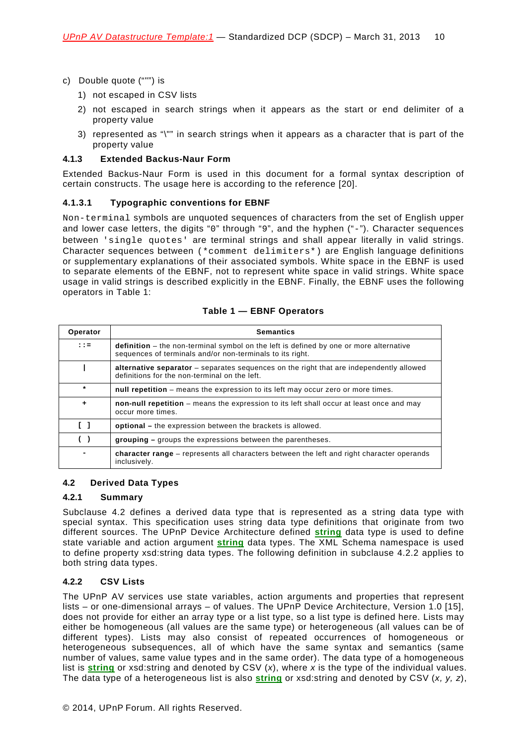- c) Double quote (""") is
	- 1) not escaped in CSV lists
	- 2) not escaped in search strings when it appears as the start or end delimiter of a property value
	- 3) represented as "\"" in search strings when it appears as a character that is part of the property value

### <span id="page-9-0"></span>**4.1.3 Extended Backus-Naur Form**

Extended Backus-Naur Form is used in this document for a formal syntax description of certain constructs. The usage here is according to the reference [\[20\]](#page-6-0).

### **4.1.3.1 Typographic conventions for EBNF**

Non-terminal symbols are unquoted sequences of characters from the set of English upper and lower case letters, the digits "0" through "9", and the hyphen ("-"). Character sequences between 'single quotes' are terminal strings and shall appear literally in valid strings. Character sequences between (\*comment delimiters\*) are English language definitions or supplementary explanations of their associated symbols. White space in the EBNF is used to separate elements of the EBNF, not to represent white space in valid strings. White space usage in valid strings is described explicitly in the EBNF. Finally, the EBNF uses the following operators in [Table 1:](#page-9-4)

<span id="page-9-4"></span>

| Operator                          | <b>Semantics</b>                                                                                                                                    |  |
|-----------------------------------|-----------------------------------------------------------------------------------------------------------------------------------------------------|--|
| $: : =$                           | definition – the non-terminal symbol on the left is defined by one or more alternative<br>sequences of terminals and/or non-terminals to its right. |  |
|                                   | alternative separator – separates sequences on the right that are independently allowed<br>definitions for the non-terminal on the left.            |  |
| $\star$                           | null repetition – means the expression to its left may occur zero or more times.                                                                    |  |
| $\ddot{}$                         | non-null repetition – means the expression to its left shall occur at least once and may<br>occur more times.                                       |  |
| $\begin{bmatrix} 1 \end{bmatrix}$ | <b>optional</b> – the expression between the brackets is allowed.                                                                                   |  |
| ( )                               | <b>grouping</b> – groups the expressions between the parentheses.                                                                                   |  |
|                                   | <b>character range</b> – represents all characters between the left and right character operands<br>inclusively.                                    |  |

### <span id="page-9-1"></span>**4.2 Derived Data Types**

### <span id="page-9-2"></span>**4.2.1 Summary**

Subclause [4.2](#page-9-1) defines a derived data type that is represented as a string data type with special syntax. This specification uses string data type definitions that originate from two different sources. The UPnP Device Architecture defined **string** data type is used to define state variable and action argument **string** data types. The XML Schema namespace is used to define property xsd:string data types. The following definition in subclause [4.2.2](#page-9-3) applies to both string data types.

### <span id="page-9-3"></span>**4.2.2 CSV Lists**

The UPnP AV services use state variables, action arguments and properties that represent lists – or one-dimensional arrays – of values. The UPnP Device Architecture, Version 1.0 [\[15\]](#page-5-0), does not provide for either an array type or a list type, so a list type is defined here. Lists may either be homogeneous (all values are the same type) or heterogeneous (all values can be of different types). Lists may also consist of repeated occurrences of homogeneous or heterogeneous subsequences, all of which have the same syntax and semantics (same number of values, same value types and in the same order). The data type of a homogeneous list is **string** or xsd:string and denoted by CSV (*x*), where *x* is the type of the individual values. The data type of a heterogeneous list is also **string** or xsd:string and denoted by CSV (*x, y, z*),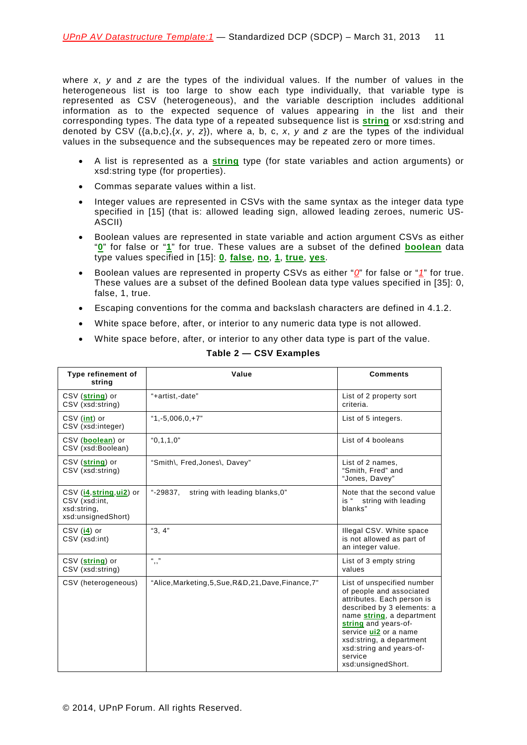where *x*, *y* and *z* are the types of the individual values. If the number of values in the heterogeneous list is too large to show each type individually, that variable type is represented as CSV (heterogeneous), and the variable description includes additional information as to the expected sequence of values appearing in the list and their corresponding types. The data type of a repeated subsequence list is **string** or xsd:string and denoted by CSV ({a,b,c},{*x*, *y*, *z*}), where a, b, c, *x*, *y* and *z* are the types of the individual values in the subsequence and the subsequences may be repeated zero or more times.

- A list is represented as a **string** type (for state variables and action arguments) or xsd:string type (for properties).
- Commas separate values within a list.
- Integer values are represented in CSVs with the same syntax as the integer data type specified in [\[15\]](#page-5-0) (that is: allowed leading sign, allowed leading zeroes, numeric US-ASCII)
- Boolean values are represented in state variable and action argument CSVs as either "**0**" for false or "**1**" for true. These values are a subset of the defined **boolean** data type values specified in [\[15\]](#page-5-0): **0**, **false**, **no**, **1**, **true**, **yes**.
- Boolean values are represented in property CSVs as either "*0*" for false or "*1*" for true. These values are a subset of the defined Boolean data type values specified in [\[35\]](#page-7-2): 0, false, 1, true.
- Escaping conventions for the comma and backslash characters are defined in [4.1.2.](#page-8-4)
- White space before, after, or interior to any numeric data type is not allowed.
- White space before, after, or interior to any other data type is part of the value.

| Type refinement of<br>string                                                     | Value                                                 | <b>Comments</b>                                                                                                                                                                                                                                                                           |
|----------------------------------------------------------------------------------|-------------------------------------------------------|-------------------------------------------------------------------------------------------------------------------------------------------------------------------------------------------------------------------------------------------------------------------------------------------|
| CSV (string) or<br>CSV (xsd:string)                                              | "+artist,-date"                                       | List of 2 property sort<br>criteria.                                                                                                                                                                                                                                                      |
| $CSV$ (int) or<br>CSV (xsd:integer)                                              | $"1.-5.006.0.+7"$                                     | List of 5 integers.                                                                                                                                                                                                                                                                       |
| CSV ( <b>boolean</b> ) or<br>CSV (xsd:Boolean)                                   | "0.1.1.0"                                             | List of 4 booleans                                                                                                                                                                                                                                                                        |
| CSV (string) or<br>CSV (xsd:string)                                              | "Smith\, Fred, Jones\, Davey"                         | List of 2 names.<br>"Smith, Fred" and<br>"Jones, Davey"                                                                                                                                                                                                                                   |
| $CSV$ (i4, string, ui2) or<br>CSV (xsd:int,<br>xsd:string,<br>xsd:unsignedShort) | $-.29837.$<br>string with leading blanks, 0"          | Note that the second value<br>is " string with leading<br>blanks"                                                                                                                                                                                                                         |
| $CSV$ (i4) or<br>CSV (xsd:int)                                                   | "3, 4"                                                | Illegal CSV. White space<br>is not allowed as part of<br>an integer value.                                                                                                                                                                                                                |
| CSV (string) or<br>CSV (xsd:string)                                              | $(1 - 35)$<br>, ,                                     | List of 3 empty string<br>values                                                                                                                                                                                                                                                          |
| CSV (heterogeneous)                                                              | "Alice, Marketing, 5, Sue, R&D, 21, Dave, Finance, 7" | List of unspecified number<br>of people and associated<br>attributes. Each person is<br>described by 3 elements: a<br>name string, a department<br>string and years-of-<br>service ui2 or a name<br>xsd:string, a department<br>xsd:string and years-of-<br>service<br>xsd:unsignedShort. |

### **Table 2 — CSV Examples**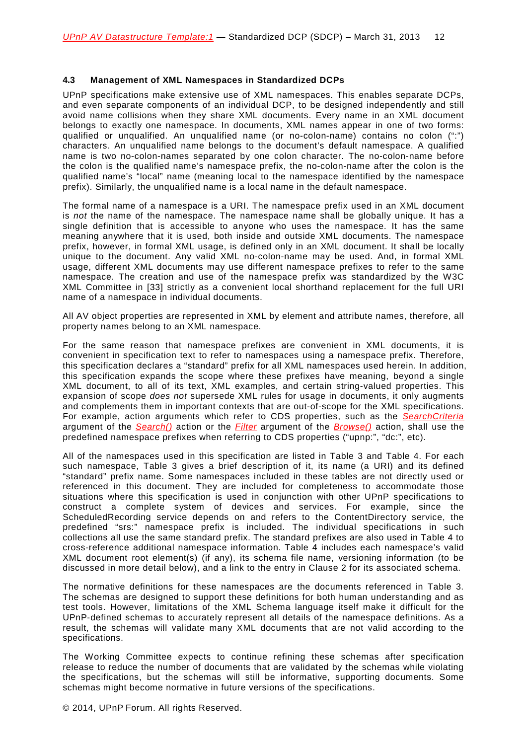### <span id="page-11-0"></span>**4.3 Management of XML Namespaces in Standardized DCPs**

UPnP specifications make extensive use of XML namespaces. This enables separate DCPs, and even separate components of an individual DCP, to be designed independently and still avoid name collisions when they share XML documents. Every name in an XML document belongs to exactly one namespace. In documents, XML names appear in one of two forms: qualified or unqualified. An unqualified name (or no-colon-name) contains no colon (":") characters. An unqualified name belongs to the document's default namespace. A qualified name is two no-colon-names separated by one colon character. The no-colon-name before the colon is the qualified name's namespace prefix, the no-colon-name after the colon is the qualified name's "local" name (meaning local to the namespace identified by the namespace prefix). Similarly, the unqualified name is a local name in the default namespace.

The formal name of a namespace is a URI. The namespace prefix used in an XML document is *not* the name of the namespace. The namespace name shall be globally unique. It has a single definition that is accessible to anyone who uses the namespace. It has the same meaning anywhere that it is used, both inside and outside XML documents. The namespace prefix, however, in formal XML usage, is defined only in an XML document. It shall be locally unique to the document. Any valid XML no-colon-name may be used. And, in formal XML usage, different XML documents may use different namespace prefixes to refer to the same namespace. The creation and use of the namespace prefix was standardized by the W3C XML Committee in [\[33\]](#page-6-1) strictly as a convenient local shorthand replacement for the full URI name of a namespace in individual documents.

All AV object properties are represented in XML by element and attribute names, therefore, all property names belong to an XML namespace.

For the same reason that namespace prefixes are convenient in XML documents, it is convenient in specification text to refer to namespaces using a namespace prefix. Therefore, this specification declares a "standard" prefix for all XML namespaces used herein. In addition, this specification expands the scope where these prefixes have meaning, beyond a single XML document, to all of its text, XML examples, and certain string-valued properties. This expansion of scope *does not* supersede XML rules for usage in documents, it only augments and complements them in important contexts that are out-of-scope for the XML specifications. For example, action arguments which refer to CDS properties, such as the *SearchCriteria* argument of the *Search()* action or the *Filter* argument of the *Browse()* action, shall use the predefined namespace prefixes when referring to CDS properties ("upnp:", "dc:", etc).

All of the namespaces used in this specification are listed in [Table 3](#page-12-0) and [Table 4.](#page-14-0) For each such namespace, [Table 3](#page-12-0) gives a brief description of it, its name (a URI) and its defined "standard" prefix name. Some namespaces included in these tables are not directly used or referenced in this document. They are included for completeness to accommodate those situations where this specification is used in conjunction with other UPnP specifications to construct a complete system of devices and services. For example, since the ScheduledRecording service depends on and refers to the ContentDirectory service, the predefined "srs:" namespace prefix is included. The individual specifications in such collections all use the same standard prefix. The standard prefixes are also used in [Table 4](#page-14-0) to cross-reference additional namespace information. [Table 4](#page-14-0) includes each namespace's valid XML document root element(s) (if any), its schema file name, versioning information (to be discussed in more detail below), and a link to the entry in Clause [2](#page-4-0) for its associated schema.

The normative definitions for these namespaces are the documents referenced in [Table 3.](#page-12-0) The schemas are designed to support these definitions for both human understanding and as test tools. However, limitations of the XML Schema language itself make it difficult for the UPnP-defined schemas to accurately represent all details of the namespace definitions. As a result, the schemas will validate many XML documents that are not valid according to the specifications.

The Working Committee expects to continue refining these schemas after specification release to reduce the number of documents that are validated by the schemas while violating the specifications, but the schemas will still be informative, supporting documents. Some schemas might become normative in future versions of the specifications.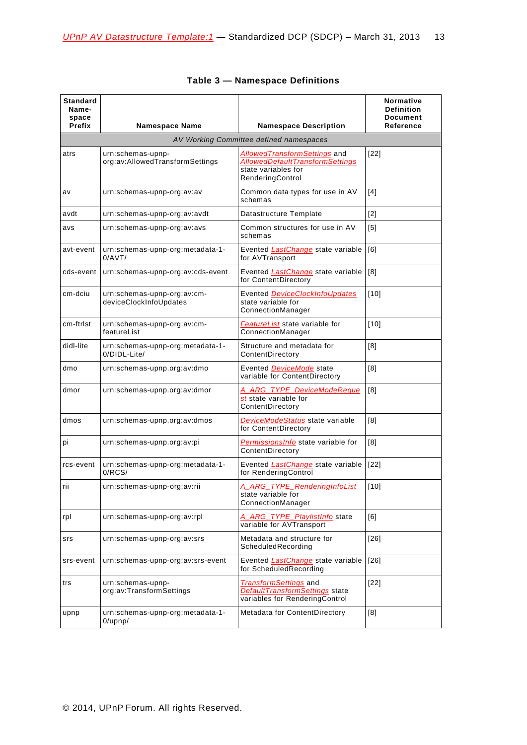<span id="page-12-0"></span>

| <b>Standard</b><br>Name-<br>space<br>Prefix | <b>Namespace Name</b>                                 | <b>Namespace Description</b>                                                                                             | Normative<br><b>Definition</b><br><b>Document</b><br><b>Reference</b> |
|---------------------------------------------|-------------------------------------------------------|--------------------------------------------------------------------------------------------------------------------------|-----------------------------------------------------------------------|
|                                             |                                                       | AV Working Committee defined namespaces                                                                                  |                                                                       |
| atrs                                        | urn:schemas-upnp-<br>org:av:AllowedTransformSettings  | <b>AllowedTransformSettings</b> and<br><b>AllowedDefaultTransformSettings</b><br>state variables for<br>RenderingControl | $[22]$                                                                |
| av                                          | urn:schemas-upnp-org:av:av                            | Common data types for use in AV<br>schemas                                                                               | [4]                                                                   |
| avdt                                        | urn:schemas-upnp-org:av:avdt                          | Datastructure Template                                                                                                   | $[2]$                                                                 |
| avs                                         | urn:schemas-upnp-org:av:avs                           | Common structures for use in AV<br>schemas                                                                               | [5]                                                                   |
| avt-event                                   | urn:schemas-upnp-org:metadata-1-<br>0/AVT/            | Evented <i>LastChange</i> state variable<br>for AVTransport                                                              | [6]                                                                   |
| cds-event                                   | urn:schemas-upnp-org:av:cds-event                     | Evented <i>LastChange</i> state variable<br>for ContentDirectory                                                         | [8]                                                                   |
| cm-dciu                                     | urn:schemas-upnp-org:av:cm-<br>deviceClockInfoUpdates | Evented DeviceClockInfoUpdates<br>state variable for<br>ConnectionManager                                                | [10]                                                                  |
| cm-ftrist                                   | urn:schemas-upnp-org:av:cm-<br>featureList            | FeatureList state variable for<br>ConnectionManager                                                                      | [10]                                                                  |
| didl-lite                                   | urn:schemas-upnp-org:metadata-1-<br>0/DIDL-Lite/      | Structure and metadata for<br>ContentDirectory                                                                           | [8]                                                                   |
| dmo                                         | urn:schemas-upnp.org:av:dmo                           | Evented DeviceMode state<br>variable for ContentDirectory                                                                | [8]                                                                   |
| dmor                                        | urn:schemas-upnp.org:av:dmor                          | A_ARG_TYPE_DeviceModeReque<br>st state variable for<br>ContentDirectory                                                  | [8]                                                                   |
| dmos                                        | urn:schemas-upnp.org:av:dmos                          | DeviceModeStatus state variable<br>for ContentDirectory                                                                  | [8]                                                                   |
| pi                                          | urn:schemas-upnp.org:av:pi                            | Permissions Info state variable for<br>ContentDirectory                                                                  | [8]                                                                   |
| rcs-event                                   | urn:schemas-upnp-org:metadata-1-<br>0/RCS/            | Evented LastChange state variable<br>for RenderingControl                                                                | [22]                                                                  |
| rii                                         | urn:schemas-upnp-org:av:rii                           | A ARG TYPE RenderingInfoList<br>state variable for<br>ConnectionManager                                                  | $[10]$                                                                |
| rpl                                         | urn:schemas-upnp-org:av:rpl                           | A_ARG_TYPE_PlaylistInfo state<br>variable for AVTransport                                                                | [6]                                                                   |
| srs                                         | urn:schemas-upnp-org:av:srs                           | Metadata and structure for<br>ScheduledRecording                                                                         | $[26]$                                                                |
| srs-event                                   | urn:schemas-upnp-org:av:srs-event                     | Evented LastChange state variable<br>for ScheduledRecording                                                              | [26]                                                                  |
| trs                                         | urn:schemas-upnp-<br>org:av:TransformSettings         | <i>TransformSettings</i> and<br>DefaultTransformSettings state<br>variables for RenderingControl                         | $[22]$                                                                |
| upnp                                        | urn:schemas-upnp-org:metadata-1-<br>$0/\text{upnp}/$  | Metadata for ContentDirectory                                                                                            | [8]                                                                   |

|  | <b>Table 3 - Namespace Definitions</b> |  |
|--|----------------------------------------|--|
|--|----------------------------------------|--|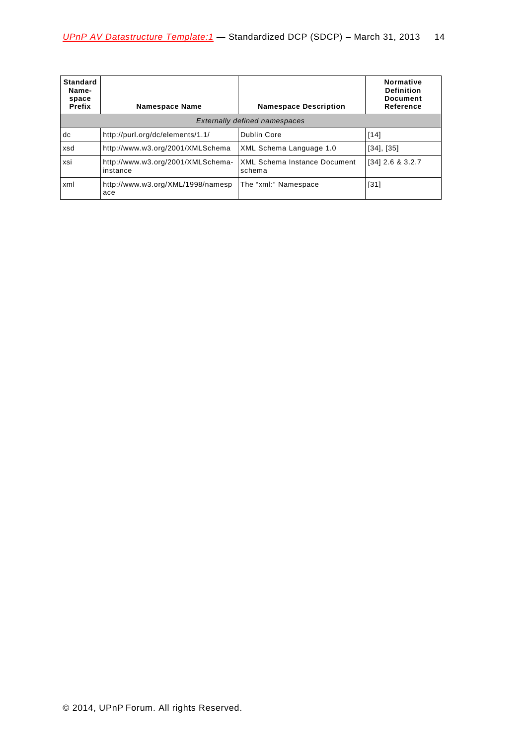| <b>Standard</b><br>Name-<br>space<br>Prefix | <b>Namespace Name</b>                         | <b>Namespace Description</b>                  | Normative<br><b>Definition</b><br><b>Document</b><br>Reference |
|---------------------------------------------|-----------------------------------------------|-----------------------------------------------|----------------------------------------------------------------|
|                                             |                                               | <b>Externally defined namespaces</b>          |                                                                |
| dc                                          | http://purl.org/dc/elements/1.1/              | Dublin Core                                   | $[14]$                                                         |
| xsd                                         | http://www.w3.org/2001/XMLSchema              | XML Schema Language 1.0                       | $[34]$ , $[35]$                                                |
| xsi                                         | http://www.w3.org/2001/XMLSchema-<br>instance | <b>XML Schema Instance Document</b><br>schema | $[34]$ 2.6 & 3.2.7                                             |
| xml                                         | http://www.w3.org/XML/1998/namesp<br>ace      | The "xml:" Namespace                          | $[31]$                                                         |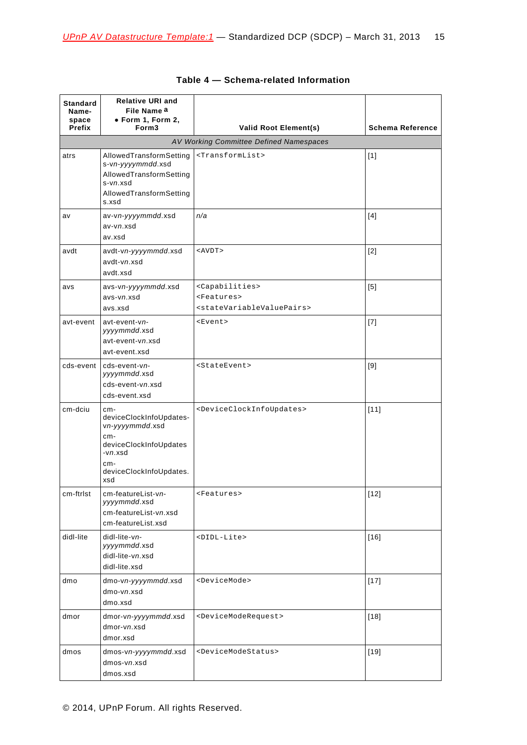<span id="page-14-0"></span>

| <b>Standard</b><br>Name-<br>space<br>Prefix | <b>Relative URI and</b><br>File Name <sup>a</sup><br>· Form 1, Form 2,<br>Form <sub>3</sub>                                              | <b>Valid Root Element(s)</b><br>AV Working Committee Defined Namespaces                                                 | <b>Schema Reference</b> |
|---------------------------------------------|------------------------------------------------------------------------------------------------------------------------------------------|-------------------------------------------------------------------------------------------------------------------------|-------------------------|
|                                             |                                                                                                                                          |                                                                                                                         |                         |
| atrs                                        | AllowedTransformSetting<br>s-vn-yyyymmdd.xsd<br>AllowedTransformSetting<br>s-vn.xsd<br>AllowedTransformSetting<br>s.xsd                  | <transformlist></transformlist>                                                                                         | $[1]$                   |
| av                                          | av-vn-yyyymmdd.xsd<br>av-vn.xsd<br>av.xsd                                                                                                | n/a                                                                                                                     | $[4]$                   |
| avdt                                        | avdt-vn-yyyymmdd.xsd<br>avdt-vn.xsd<br>avdt.xsd                                                                                          | $<$ AVDT $>$                                                                                                            | $[2]$                   |
| avs                                         | avs-vn-yyyymmdd.xsd<br>avs-vn.xsd<br>avs.xsd                                                                                             | <capabilities><br/><math>&lt;</math>Features&gt;<br/><statevariablevaluepairs></statevariablevaluepairs></capabilities> | [5]                     |
| avt-event                                   | avt-event-vn-<br>yyyymmdd.xsd<br>avt-event-vn.xsd<br>avt-event.xsd                                                                       | <event></event>                                                                                                         | $[7]$                   |
|                                             | cds-event cds-event-vn-<br>yyyymmdd.xsd<br>cds-event-vn.xsd<br>cds-event.xsd                                                             | <stateevent></stateevent>                                                                                               | $[9]$                   |
| cm-dciu                                     | cm-<br>deviceClockInfoUpdates-<br>vn-yyyymmdd.xsd<br>cm-<br>deviceClockInfoUpdates<br>$-vn.xsd$<br>cm-<br>deviceClockInfoUpdates.<br>xsd | <deviceclockinfoupdates></deviceclockinfoupdates>                                                                       | $[11]$                  |
| cm-ftrlst                                   | cm-featureList-vn-<br>yyyymmdd.xsd<br>cm-featureList-vn.xsd<br>cm-featureList.xsd                                                        | <features></features>                                                                                                   | $[12]$                  |
| didl-lite                                   | didl-lite-vn-<br>yyyymmdd.xsd<br>didl-lite-vn.xsd<br>didl-lite.xsd                                                                       | <didl-lite></didl-lite>                                                                                                 | $[16]$                  |
| dmo                                         | dmo-vn-yyyymmdd.xsd<br>dmo-vn.xsd<br>dmo.xsd                                                                                             | <devicemode></devicemode>                                                                                               | $[17]$                  |
| dmor                                        | dmor-vn-yyyymmdd.xsd<br>dmor-vn.xsd<br>dmor.xsd                                                                                          | <devicemoderequest></devicemoderequest>                                                                                 | $[18]$                  |
| dmos                                        | dmos-vn-yyyymmdd.xsd<br>dmos-vn.xsd<br>dmos.xsd                                                                                          | <devicemodestatus></devicemodestatus>                                                                                   | $[19]$                  |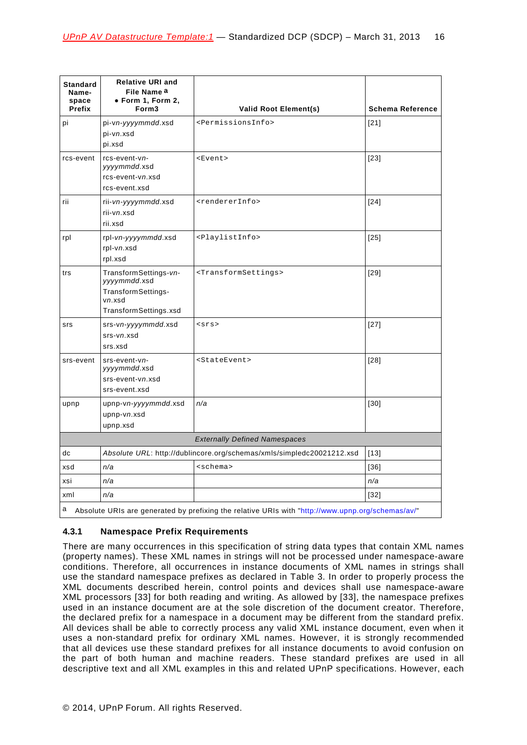| Standard<br>Name-<br>space<br>Prefix | <b>Relative URI and</b><br>File Name <sup>a</sup><br>· Form 1, Form 2,<br>Form <sub>3</sub>    | <b>Valid Root Element(s)</b>                                          | <b>Schema Reference</b> |  |
|--------------------------------------|------------------------------------------------------------------------------------------------|-----------------------------------------------------------------------|-------------------------|--|
| pi                                   | pi-vn-yyyymmdd.xsd<br>pi-vn.xsd<br>pi.xsd                                                      | <permissionsinfo></permissionsinfo>                                   | [21]                    |  |
| rcs-event                            | rcs-event-vn-<br>yyyymmdd.xsd<br>rcs-event-vn.xsd<br>rcs-event.xsd                             | <event></event>                                                       | [23]                    |  |
| rii                                  | rii-vn-yyyymmdd.xsd<br>rii-vn.xsd<br>rii.xsd                                                   | <rendererinfo></rendererinfo>                                         | $[24]$                  |  |
| rpl                                  | rpl-vn-yyyymmdd.xsd<br>rpl-vn.xsd<br>rpl.xsd                                                   | <playlistinfo></playlistinfo>                                         | $[25]$                  |  |
| trs                                  | TransformSettings-vn-<br>yyyymmdd.xsd<br>TransformSettings-<br>vn.xsd<br>TransformSettings.xsd | <transformsettings></transformsettings>                               | $[29]$                  |  |
| srs                                  | srs-vn-yyyymmdd.xsd<br>srs-vn.xsd<br>srs.xsd                                                   | $<$ srs>                                                              | $[27]$                  |  |
| srs-event                            | srs-event-vn-<br>yyyymmdd.xsd<br>srs-event-vn.xsd<br>srs-event.xsd                             | <stateevent></stateevent>                                             | $[28]$                  |  |
| upnp                                 | upnp-vn-yyyymmdd.xsd<br>upnp-vn.xsd<br>upnp.xsd                                                | n/a                                                                   | $[30]$                  |  |
| <b>Externally Defined Namespaces</b> |                                                                                                |                                                                       |                         |  |
| dc                                   |                                                                                                | Absolute URL: http://dublincore.org/schemas/xmls/simpledc20021212.xsd | $[13]$                  |  |
| xsd                                  | n/a                                                                                            | <schema></schema>                                                     | [36]                    |  |
| xsi                                  | n/a                                                                                            |                                                                       | n/a                     |  |
| xml                                  | n/a                                                                                            |                                                                       | [32]                    |  |

<span id="page-15-1"></span>a Absolute URIs are generated by prefixing the relative URIs with ["http://www.upnp.org/schemas/av/"](http://www.upnp.org/schemas/av/)

# <span id="page-15-0"></span>**4.3.1 Namespace Prefix Requirements**

There are many occurrences in this specification of string data types that contain XML names (property names). These XML names in strings will not be processed under namespace-aware conditions. Therefore, all occurrences in instance documents of XML names in strings shall use the standard namespace prefixes as declared in [Table 3.](#page-12-0) In order to properly process the XML documents described herein, control points and devices shall use namespace-aware XML processors [\[33\]](#page-6-1) for both reading and writing. As allowed by [\[33\]](#page-6-1), the namespace prefixes used in an instance document are at the sole discretion of the document creator. Therefore, the declared prefix for a namespace in a document may be different from the standard prefix. All devices shall be able to correctly process any valid XML instance document, even when it uses a non-standard prefix for ordinary XML names. However, it is strongly recommended that all devices use these standard prefixes for all instance documents to avoid confusion on the part of both human and machine readers. These standard prefixes are used in all descriptive text and all XML examples in this and related UPnP specifications. However, each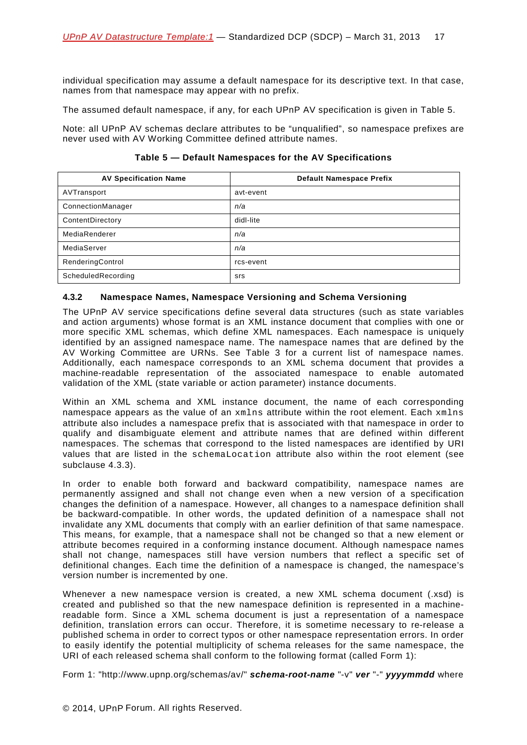individual specification may assume a default namespace for its descriptive text. In that case, names from that namespace may appear with no prefix.

The assumed default namespace, if any, for each UPnP AV specification is given in [Table](#page-16-1) 5.

Note: all UPnP AV schemas declare attributes to be "unqualified", so namespace prefixes are never used with AV Working Committee defined attribute names.

| Table 5 — Default Namespaces for the AV Specifications |  |
|--------------------------------------------------------|--|
|--------------------------------------------------------|--|

<span id="page-16-1"></span>

| <b>AV Specification Name</b> | <b>Default Namespace Prefix</b> |
|------------------------------|---------------------------------|
| AVTransport                  | avt-event                       |
| ConnectionManager            | n/a                             |
| ContentDirectory             | didl-lite                       |
| MediaRenderer                | n/a                             |
| MediaServer                  | n/a                             |
| RenderingControl             | rcs-event                       |
| ScheduledRecording           | srs                             |

### <span id="page-16-0"></span>**4.3.2 Namespace Names, Namespace Versioning and Schema Versioning**

The UPnP AV service specifications define several data structures (such as state variables and action arguments) whose format is an XML instance document that complies with one or more specific XML schemas, which define XML namespaces. Each namespace is uniquely identified by an assigned namespace name. The namespace names that are defined by the AV Working Committee are URNs. See [Table 3](#page-12-0) for a current list of namespace names. Additionally, each namespace corresponds to an XML schema document that provides a machine-readable representation of the associated namespace to enable automated validation of the XML (state variable or action parameter) instance documents.

Within an XML schema and XML instance document, the name of each corresponding namespace appears as the value of an xmlns attribute within the root element. Each xmlns attribute also includes a namespace prefix that is associated with that namespace in order to qualify and disambiguate element and attribute names that are defined within different namespaces. The schemas that correspond to the listed namespaces are identified by URI values that are listed in the schemaLocation attribute also within the root element (see subclause [4.3.3\)](#page-18-0).

In order to enable both forward and backward compatibility, namespace names are permanently assigned and shall not change even when a new version of a specification changes the definition of a namespace. However, all changes to a namespace definition shall be backward-compatible. In other words, the updated definition of a namespace shall not invalidate any XML documents that comply with an earlier definition of that same namespace. This means, for example, that a namespace shall not be changed so that a new element or attribute becomes required in a conforming instance document. Although namespace names shall not change, namespaces still have version numbers that reflect a specific set of definitional changes. Each time the definition of a namespace is changed, the namespace's version number is incremented by one.

Whenever a new namespace version is created, a new XML schema document (.xsd) is created and published so that the new namespace definition is represented in a machinereadable form. Since a XML schema document is just a representation of a namespace definition, translation errors can occur. Therefore, it is sometime necessary to re-release a published schema in order to correct typos or other namespace representation errors. In order to easily identify the potential multiplicity of schema releases for the same namespace, the URI of each released schema shall conform to the following format (called Form 1):

Form 1: "http://www.upnp.org/schemas/av/" *schema-root-name* "-v" *ver* "*-*" *yyyymmdd* where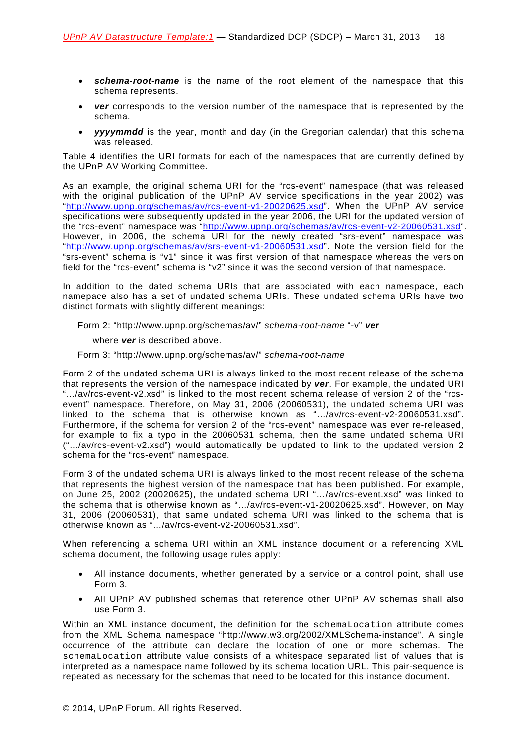- *schema-root-name* is the name of the root element of the namespace that this schema represents.
- *ver* corresponds to the version number of the namespace that is represented by the schema.
- *yyyymmdd* is the year, month and day (in the Gregorian calendar) that this schema was released.

[Table 4](#page-14-0) identifies the URI formats for each of the namespaces that are currently defined by the UPnP AV Working Committee.

As an example, the original schema URI for the "rcs-event" namespace (that was released with the original publication of the UPnP AV service specifications in the year 2002) was ["http://www.upnp.org/schemas/av/rcs-event-v1-20020625.xsd"](http://www.upnp.org/schemas/av/rcs-event-v1-20020625.xsd). When the UPnP AV service specifications were subsequently updated in the year 2006, the URI for the updated version of the "rcs-event" namespace was ["http://www.upnp.org/schemas/av/rcs-event-v2-20060531.xsd"](http://www.upnp.org/schemas/av/rcs-event-v2-20060531.xsd). However, in 2006, the schema URI for the newly created "srs-event" namespace was ["http://www.upnp.org/schemas/av/srs-event-v1-20060531.xsd"](http://www.upnp.org/schemas/av/srs-event-v1-20060531.xsd). Note the version field for the "srs-event" schema is "v1" since it was first version of that namespace whereas the version field for the "rcs-event" schema is "v2" since it was the second version of that namespace.

In addition to the dated schema URIs that are associated with each namespace, each namepace also has a set of undated schema URIs. These undated schema URIs have two distinct formats with slightly different meanings:

Form 2: "http://www.upnp.org/schemas/av/" *schema-root-name* "-v" *ver*

where *ver* is described above.

Form 3: "http://www.upnp.org/schemas/av/" *schema-root-name*

Form 2 of the undated schema URI is always linked to the most recent release of the schema that represents the version of the namespace indicated by *ver*. For example, the undated URI "…/av/rcs-event-v2.xsd" is linked to the most recent schema release of version 2 of the "rcsevent" namespace. Therefore, on May 31, 2006 (20060531), the undated schema URI was linked to the schema that is otherwise known as "…/av/rcs-event-v2-20060531.xsd". Furthermore, if the schema for version 2 of the "rcs-event" namespace was ever re-released, for example to fix a typo in the 20060531 schema, then the same undated schema URI ("…/av/rcs-event-v2.xsd") would automatically be updated to link to the updated version 2 schema for the "rcs-event" namespace.

Form 3 of the undated schema URI is always linked to the most recent release of the schema that represents the highest version of the namespace that has been published. For example, on June 25, 2002 (20020625), the undated schema URI "…/av/rcs-event.xsd" was linked to the schema that is otherwise known as "…/av/rcs-event-v1-20020625.xsd". However, on May 31, 2006 (20060531), that same undated schema URI was linked to the schema that is otherwise known as "…/av/rcs-event-v2-20060531.xsd".

When referencing a schema URI within an XML instance document or a referencing XML schema document, the following usage rules apply:

- All instance documents, whether generated by a service or a control point, shall use Form 3.
- All UPnP AV published schemas that reference other UPnP AV schemas shall also use Form 3.

Within an XML instance document, the definition for the schemaLocation attribute comes from the XML Schema namespace "http://www.w3.org/2002/XMLSchema-instance". A single occurrence of the attribute can declare the location of one or more schemas. The schemaLocation attribute value consists of a whitespace separated list of values that is interpreted as a namespace name followed by its schema location URL. This pair-sequence is repeated as necessary for the schemas that need to be located for this instance document.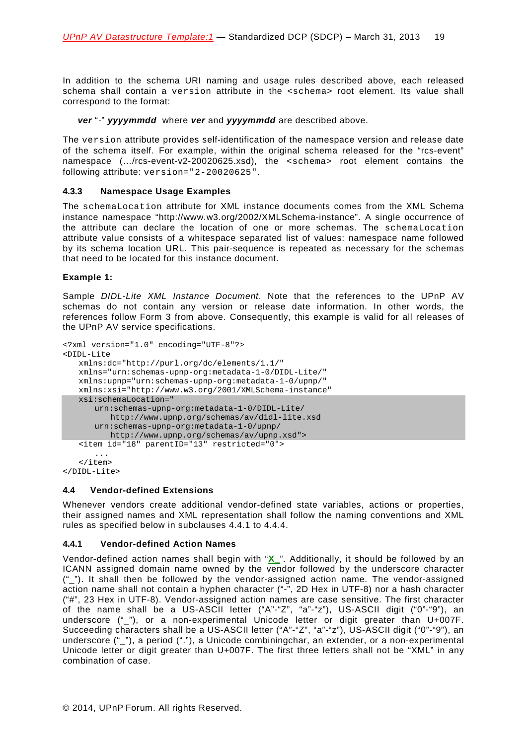In addition to the schema URI naming and usage rules described above, each released schema shall contain a version attribute in the <schema> root element. Its value shall correspond to the format:

### *ver* "*-*" *yyyymmdd* where *ver* and *yyyymmdd* are described above.

The version attribute provides self-identification of the namespace version and release date of the schema itself. For example, within the original schema released for the "rcs-event" namespace (…/rcs-event-v2-20020625.xsd), the <schema> root element contains the following attribute: version="2-20020625".

### <span id="page-18-0"></span>**4.3.3 Namespace Usage Examples**

The schemaLocation attribute for XML instance documents comes from the XML Schema instance namespace "http://www.w3.org/2002/XMLSchema-instance". A single occurrence of the attribute can declare the location of one or more schemas. The schemaLocation attribute value consists of a whitespace separated list of values: namespace name followed by its schema location URL. This pair-sequence is repeated as necessary for the schemas that need to be located for this instance document.

### **Example 1:**

Sample *DIDL-Lite XML Instance Document*. Note that the references to the UPnP AV schemas do not contain any version or release date information. In other words, the references follow Form 3 from above. Consequently, this example is valid for all releases of the UPnP AV service specifications.

```
<?xml version="1.0" encoding="UTF-8"?>
<DIDL-Lite
   xmlns:dc="http://purl.org/dc/elements/1.1/"
   xmlns="urn:schemas-upnp-org:metadata-1-0/DIDL-Lite/"
   xmlns:upnp="urn:schemas-upnp-org:metadata-1-0/upnp/"
   xmlns:xsi="http://www.w3.org/2001/XMLSchema-instance"
   xsi:schemaLocation="
      urn:schemas-upnp-org:metadata-1-0/DIDL-Lite/
         http://www.upnp.org/schemas/av/didl-lite.xsd
      urn:schemas-upnp-org:metadata-1-0/upnp/
        http://www.upnp.org/schemas/av/upnp.xsd">
   <item id="18" parentID="13" restricted="0">
      ...
   </item>
```
</DIDL-Lite>

### <span id="page-18-1"></span>**4.4 Vendor-defined Extensions**

Whenever vendors create additional vendor-defined state variables, actions or properties, their assigned names and XML representation shall follow the naming conventions and XML rules as specified below in subclauses [4.4.1](#page-18-2) to [4.4.4.](#page-19-2)

### <span id="page-18-2"></span>**4.4.1 Vendor-defined Action Names**

Vendor-defined action names shall begin with "**X\_**". Additionally, it should be followed by an ICANN assigned domain name owned by the vendor followed by the underscore character ("\_"). It shall then be followed by the vendor-assigned action name. The vendor-assigned action name shall not contain a hyphen character ("-", 2D Hex in UTF-8) nor a hash character ("#", 23 Hex in UTF-8). Vendor-assigned action names are case sensitive. The first character of the name shall be a US-ASCII letter ("A"-"Z", "a"-"z"), US-ASCII digit ("0"-"9"), an underscore ("\_"), or a non-experimental Unicode letter or digit greater than U+007F. Succeeding characters shall be a US-ASCII letter ("A"-"Z", "a"-"z"), US-ASCII digit ("0"-"9"), an underscore ("\_"), a period ("."), a Unicode combiningchar, an extender, or a non-experimental Unicode letter or digit greater than U+007F. The first three letters shall not be "XML" in any combination of case.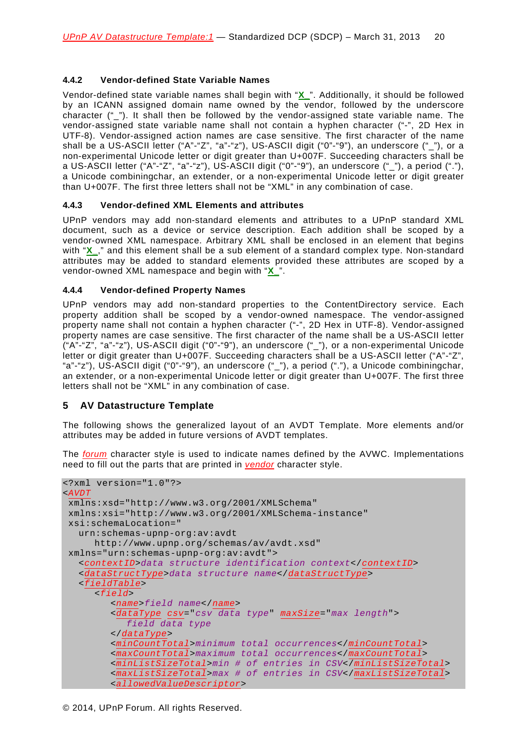### <span id="page-19-0"></span>**4.4.2 Vendor-defined State Variable Names**

Vendor-defined state variable names shall begin with "**X\_**". Additionally, it should be followed by an ICANN assigned domain name owned by the vendor, followed by the underscore character (" "). It shall then be followed by the vendor-assigned state variable name. The vendor-assigned state variable name shall not contain a hyphen character ("-", 2D Hex in UTF-8). Vendor-assigned action names are case sensitive. The first character of the name shall be a US-ASCII letter ("A"-"Z", "a"-"z"), US-ASCII digit ("0"-"9"), an underscore (" "), or a non-experimental Unicode letter or digit greater than U+007F. Succeeding characters shall be a US-ASCII letter ("A"-"Z", "a"-"z"), US-ASCII digit ("0"-"9"), an underscore ("\_"), a period ("."), a Unicode combiningchar, an extender, or a non-experimental Unicode letter or digit greater than U+007F. The first three letters shall not be "XML" in any combination of case.

### <span id="page-19-1"></span>**4.4.3 Vendor-defined XML Elements and attributes**

UPnP vendors may add non-standard elements and attributes to a UPnP standard XML document, such as a device or service description. Each addition shall be scoped by a vendor-owned XML namespace. Arbitrary XML shall be enclosed in an element that begins with "**X**," and this element shall be a sub element of a standard complex type. Non-standard attributes may be added to standard elements provided these attributes are scoped by a vendor-owned XML namespace and begin with "**X\_**".

### <span id="page-19-2"></span>**4.4.4 Vendor-defined Property Names**

UPnP vendors may add non-standard properties to the ContentDirectory service. Each property addition shall be scoped by a vendor-owned namespace. The vendor-assigned property name shall not contain a hyphen character ("-", 2D Hex in UTF-8). Vendor-assigned property names are case sensitive. The first character of the name shall be a US-ASCII letter ("A"-"Z", "a"-"z"), US-ASCII digit ("0"-"9"), an underscore ("\_"), or a non-experimental Unicode letter or digit greater than U+007F. Succeeding characters shall be a US-ASCII letter ("A"-"Z", "a"-"z"), US-ASCII digit ("0"-"9"), an underscore ("\_"), a period ("."), a Unicode combiningchar, an extender, or a non-experimental Unicode letter or digit greater than U+007F. The first three letters shall not be "XML" in any combination of case.

### <span id="page-19-3"></span>**5 AV Datastructure Template**

The following shows the generalized layout of an AVDT Template. More elements and/or attributes may be added in future versions of AVDT templates.

The *forum* character style is used to indicate names defined by the AVWC. Implementations need to fill out the parts that are printed in *vendor* character style.

```
<?xml version="1.0"?>
<AVDT
xmlns:xsd="http://www.w3.org/2001/XMLSchema"
xmlns:xsi="http://www.w3.org/2001/XMLSchema-instance"
xsi:schemaLocation="
  urn:schemas-upnp-org:av:avdt
     http://www.upnp.org/schemas/av/avdt.xsd"
xmlns="urn:schemas-upnp-org:av:avdt">
  <contextID>data structure identification context</contextID>
  <dataStructType>data structure name</dataStructType>
  <fieldTable>
     <field>
        <name>field name</name>
        <dataType csv="csv data type" maxSize="max length">
           field data type
        </dataType>
        <minCountTotal>minimum total occurrences</minCountTotal>
        <maxCountTotal>maximum total occurrences</maxCountTotal>
        <minListSizeTotal>min # of entries in CSV</minListSizeTotal>
        <maxListSizeTotal>max # of entries in CSV</maxListSizeTotal>
        <allowedValueDescriptor>
```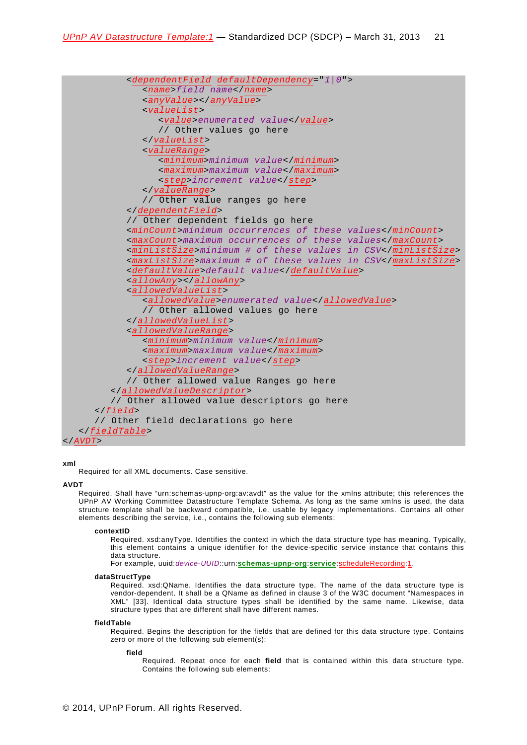```
<dependentField defaultDependency="1|0">
              <name>field name</name>
              <anyValue></anyValue>
              <valueList>
                 <value>enumerated value</value>
                 // Other values go here
              </valueList>
              <valueRange>
                 <minimum>minimum value</minimum>
                 <maximum>maximum value</maximum>
                 <step>increment value</step>
              </valueRange>
              // Other value ranges go here
           </dependentField>
           // Other dependent fields go here
           <minCount>minimum occurrences of these values</minCount>
           <maxCount>maximum occurrences of these values</maxCount>
           <minListSize>minimum # of these values in CSV</minListSize>
           <maxListSize>maximum # of these values in CSV</maxListSize>
           <defaultValue>default value</defaultValue>
           <allowAny></allowAny>
           <allowedValueList>
              <allowedValue>enumerated value</allowedValue>
              // Other allowed values go here
           </allowedValueList>
           <allowedValueRange>
              <minimum>minimum value</minimum>
              <maximum>maximum value</maximum>
              <step>increment value</step>
           </allowedValueRange>
           // Other allowed value Ranges go here
        </allowedValueDescriptor>
        // Other allowed value descriptors go here
      </field>
      // Other field declarations go here
   </fieldTable>
</AVDT>
```
# **xml**

Required for all XML documents. Case sensitive.

#### **AVDT**

Required. Shall have "urn:schemas-upnp-org:av:avdt" as the value for the xmlns attribute; this references the UPnP AV Working Committee Datastructure Template Schema. As long as the same xmlns is used, the data structure template shall be backward compatible, i.e. usable by legacy implementations. Contains all other elements describing the service, i.e., contains the following sub elements:

#### **contextID**

Required. xsd:anyType. Identifies the context in which the data structure type has meaning. Typically, this element contains a unique identifier for the device-specific service instance that contains this data structure.

For example, uuid:*device-UUID*::urn:**schemas-upnp-org**:**service**:scheduleRecording:1.

#### **dataStructType**

Required. xsd:QName. Identifies the data structure type. The name of the data structure type is vendor-dependent. It shall be a QName as defined in clause 3 of the W3C document "Namespaces in XML" [\[33\]](#page-6-1). Identical data structure types shall be identified by the same name. Likewise, data structure types that are different shall have different names.

#### **fieldTable**

Required. Begins the description for the fields that are defined for this data structure type. Contains zero or more of the following sub element(s):

#### **field**

Required. Repeat once for each **field** that is contained within this data structure type. Contains the following sub elements: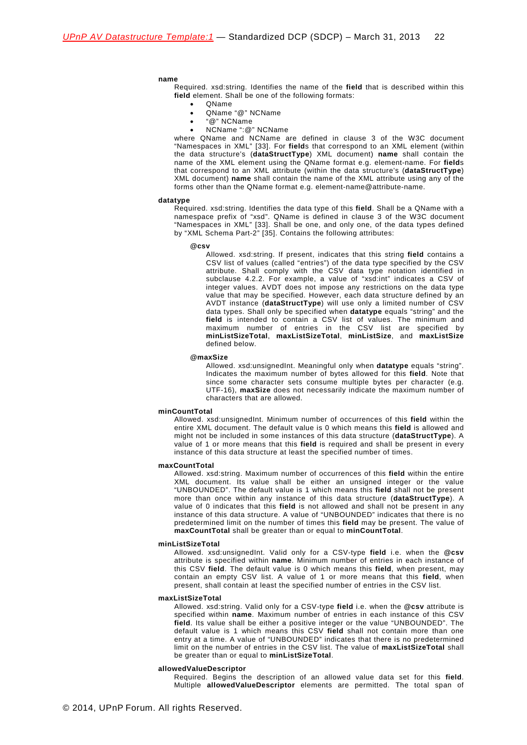#### **name**

Required. xsd:string. Identifies the name of the **field** that is described within this **field** element. Shall be one of the following formats:

- QName
- QName "@" NCName
- "@" NCName
- NCName ":@" NCName

where QName and NCName are defined in clause 3 of the W3C document "Namespaces in XML" [\[33\]](#page-6-1). For **field**s that correspond to an XML element (within the data structure's (**dataStructType**) XML document) **name** shall contain the name of the XML element using the QName format e.g. element-name. For **field**s that correspond to an XML attribute (within the data structure's (**dataStructType**) XML document) **name** shall contain the name of the XML attribute using any of the forms other than the QName format e.g. element-name@attribute-name.

#### **datatype**

Required. xsd:string. Identifies the data type of this **field**. Shall be a QName with a namespace prefix of "xsd". QName is defined in clause 3 of the W3C document "Namespaces in XML" [\[33\]](#page-6-1). Shall be one, and only one, of the data types defined by "XML Schema Part-2" [\[35\]](#page-7-2). Contains the following attributes:

#### **@csv**

Allowed. xsd:string. If present, indicates that this string **field** contains a CSV list of values (called "entries") of the data type specified by the CSV attribute. Shall comply with the CSV data type notation identified in subclause [4.2.2.](#page-9-3) For example, a value of "xsd:int" indicates a CSV of integer values. AVDT does not impose any restrictions on the data type value that may be specified. However, each data structure defined by an AVDT instance (**dataStructType**) will use only a limited number of CSV data types. Shall only be specified when **datatype** equals "string" and the **field** is intended to contain a CSV list of values. The minimum and maximum number of entries in the CSV list are specified by **minListSizeTotal**, **maxListSizeTotal**, **minListSize**, and **maxListSize** defined below.

#### **@maxSize**

Allowed. xsd:unsignedInt. Meaningful only when **datatype** equals "string". Indicates the maximum number of bytes allowed for this **field**. Note that since some character sets consume multiple bytes per character (e.g. UTF-16), **maxSize** does not necessarily indicate the maximum number of characters that are allowed.

#### **minCountTotal**

Allowed. xsd:unsignedInt. Minimum number of occurrences of this **field** within the entire XML document. The default value is 0 which means this **field** is allowed and might not be included in some instances of this data structure (**dataStructType**). A value of 1 or more means that this **field** is required and shall be present in every instance of this data structure at least the specified number of times.

#### **maxCountTotal**

Allowed. xsd:string. Maximum number of occurrences of this **field** within the entire XML document. Its value shall be either an unsigned integer or the value "UNBOUNDED". The default value is 1 which means this **field** shall not be present more than once within any instance of this data structure (**dataStructType**). A value of 0 indicates that this **field** is not allowed and shall not be present in any instance of this data structure. A value of "UNBOUNDED" indicates that there is no predetermined limit on the number of times this **field** may be present. The value of **maxCountTotal** shall be greater than or equal to **minCountTotal**.

#### **minListSizeTotal**

Allowed. xsd:unsignedInt. Valid only for a CSV-type **field** i.e. when the **@csv** attribute is specified within **name**. Minimum number of entries in each instance of this CSV **field**. The default value is 0 which means this **field**, when present, may contain an empty CSV list. A value of 1 or more means that this **field**, when present, shall contain at least the specified number of entries in the CSV list.

#### **maxListSizeTotal**

Allowed. xsd:string. Valid only for a CSV-type **field** i.e. when the **@csv** attribute is specified within **name**. Maximum number of entries in each instance of this CSV **field**. Its value shall be either a positive integer or the value "UNBOUNDED". The default value is 1 which means this CSV **field** shall not contain more than one entry at a time. A value of "UNBOUNDED" indicates that there is no predetermined limit on the number of entries in the CSV list. The value of **maxListSizeTotal** shall be greater than or equal to **minListSizeTotal**.

#### **allowedValueDescriptor**

Required. Begins the description of an allowed value data set for this **field**. Multiple **allowedValueDescriptor** elements are permitted. The total span of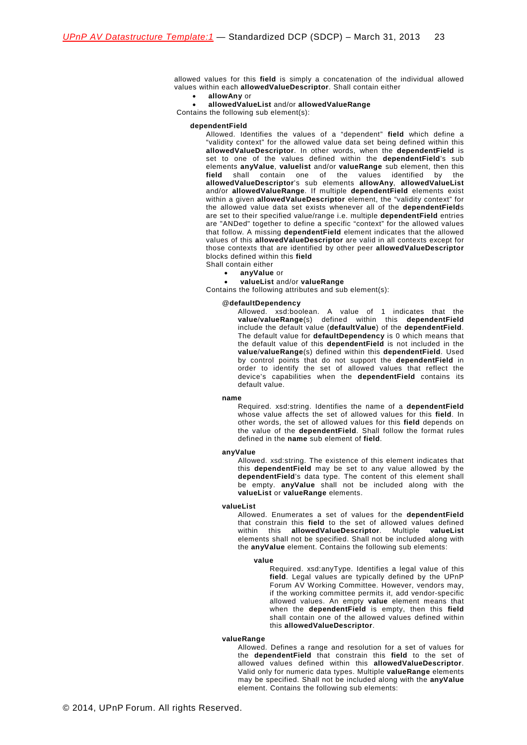allowed values for this **field** is simply a concatenation of the individual allowed values within each **allowedValueDescriptor**. Shall contain either

#### • **allowAny** or

• **allowedValueList** and/or **allowedValueRange**

Contains the following sub element(s):

#### **dependentField**

Allowed. Identifies the values of a "dependent" **field** which define a "validity context" for the allowed value data set being defined within this **allowedValueDescriptor**. In other words, when the **dependentField** is set to one of the values defined within the **dependentField**'s sub elements **anyValue**, **valuelist** and/or **valueRange** sub element, then this finally contain one of the values identified by the **allowedValueDescriptor**'s sub elements **allowAny**, **allowedValueList** and/or **allowedValueRange**. If multiple **dependentField** elements exist within a given **allowedValueDescriptor** element, the "validity context" for the allowed value data set exists whenever all of the **dependentField**s are set to their specified value/range i.e. multiple **dependentField** entries are "ANDed" together to define a specific "context" for the allowed values that follow. A missing **dependentField** element indicates that the allowed values of this **allowedValueDescriptor** are valid in all contexts except for those contexts that are identified by other peer **allowedValueDescriptor** blocks defined within this **field** Shall contain either

- **anyValue** or
- **valueList** and/or **valueRange**

Contains the following attributes and sub element(s):

#### @**defaultDependency**

Allowed. xsd:boolean. A value of 1 indicates that the **value**/**valueRange**(s) defined within this **dependentField** include the default value (**defaultValue**) of the **dependentField**. The default value for **defaultDependency** is 0 which means that the default value of this **dependentField** is not included in the **value**/**valueRange**(s) defined within this **dependentField**. Used by control points that do not support the **dependentField** in order to identify the set of allowed values that reflect the device's capabilities when the **dependentField** contains its default value.

#### **name**

Required. xsd:string. Identifies the name of a **dependentField** whose value affects the set of allowed values for this **field**. In other words, the set of allowed values for this **field** depends on the value of the **dependentField**. Shall follow the format rules defined in the **name** sub element of **field**.

#### **anyValue**

Allowed. xsd:string. The existence of this element indicates that this **dependentField** may be set to any value allowed by the **dependentField**'s data type. The content of this element shall be empty. **anyValue** shall not be included along with the **valueList** or **valueRange** elements.

#### **valueList**

Allowed. Enumerates a set of values for the **dependentField** that constrain this **field** to the set of allowed values defined within this **allowedValueDescriptor**. Multiple **valueList** elements shall not be specified. Shall not be included along with the **anyValue** element. Contains the following sub elements:

#### **value**

Required. xsd:anyType. Identifies a legal value of this field. Legal values are typically defined by the UPnP Forum AV Working Committee. However, vendors may, if the working committee permits it, add vendor-specific allowed values. An empty **value** element means that when the **dependentField** is empty, then this **field** shall contain one of the allowed values defined within this **allowedValueDescriptor**.

### **valueRange**

Allowed. Defines a range and resolution for a set of values for the **dependentField** that constrain this **field** to the set of allowed values defined within this **allowedValueDescriptor**. Valid only for numeric data types. Multiple **valueRange** elements may be specified. Shall not be included along with the **anyValue** element. Contains the following sub elements: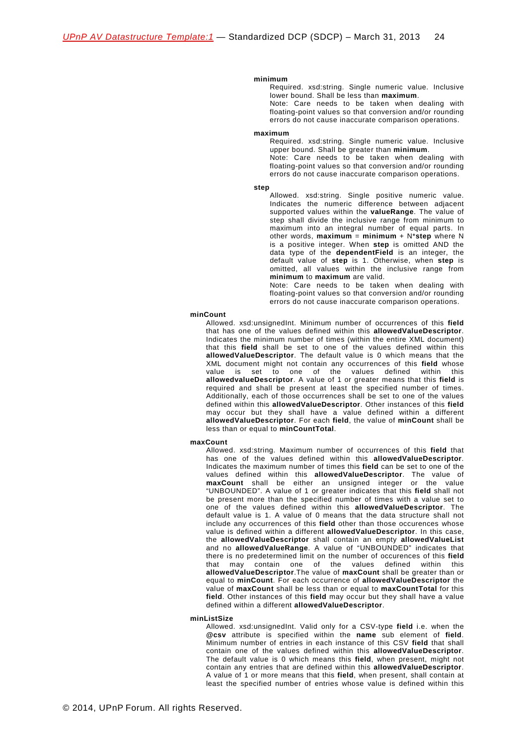#### **minimum**

Required. xsd:string. Single numeric value. Inclusive lower bound. Shall be less than **maximum**.

Note: Care needs to be taken when dealing with floating-point values so that conversion and/or rounding errors do not cause inaccurate comparison operations.

#### **maximum**

Required. xsd:string. Single numeric value. Inclusive upper bound. Shall be greater than **minimum**.

Note: Care needs to be taken when dealing with floating-point values so that conversion and/or rounding errors do not cause inaccurate comparison operations.

#### **step**

Allowed. xsd:string. Single positive numeric value. Indicates the numeric difference between adjacent supported values within the **valueRange**. The value of step shall divide the inclusive range from minimum to maximum into an integral number of equal parts. In other words,  $maximum = minimum + N*step$  where N is a positive integer. When **step** is omitted AND the data type of the **dependentField** is an integer, the default value of **step** is 1. Otherwise, when **step** is omitted, all values within the inclusive range from **minimum** to **maximum** are valid.

Note: Care needs to be taken when dealing with floating-point values so that conversion and/or rounding errors do not cause inaccurate comparison operations.

#### **minCount**

Allowed. xsd:unsignedInt. Minimum number of occurrences of this **field**  that has one of the values defined within this **allowedValueDescriptor**. Indicates the minimum number of times (within the entire XML document) that this **field** shall be set to one of the values defined within this **allowedValueDescriptor**. The default value is 0 which means that the XML document might not contain any occurrences of this **field** whose value is set to one of the values defined within this **allowedvalueDescriptor**. A value of 1 or greater means that this **field** is required and shall be present at least the specified number of times. Additionally, each of those occurrences shall be set to one of the values defined within this **allowedValueDescriptor**. Other instances of this **field** may occur but they shall have a value defined within a different **allowedValueDescriptor**. For each **field**, the value of **minCount** shall be less than or equal to **minCountTotal**.

#### **maxCount**

Allowed. xsd:string. Maximum number of occurrences of this **field** that has one of the values defined within this **allowedValueDescriptor**. Indicates the maximum number of times this **field** can be set to one of the values defined within this **allowedValueDescriptor**. The value of **maxCount** shall be either an unsigned integer or the value "UNBOUNDED". A value of 1 or greater indicates that this **field** shall not be present more than the specified number of times with a value set to one of the values defined within this **allowedValueDescriptor**. The default value is 1. A value of 0 means that the data structure shall not include any occurrences of this **field** other than those occurences whose value is defined within a different **allowedValueDescriptor**. In this case, the **allowedValueDescriptor** shall contain an empty **allowedValueList** and no **allowedValueRange**. A value of "UNBOUNDED" indicates that there is no predetermined limit on the number of occurences of this **field** that may contain one of the values defined within this **allowedValueDescriptor**.The value of **maxCount** shall be greater than or equal to **minCount**. For each occurrence of **allowedValueDescriptor** the value of **maxCount** shall be less than or equal to **maxCountTotal** for this **field**. Other instances of this **field** may occur but they shall have a value defined within a different **allowedValueDescriptor**.

#### **minListSize**

Allowed. xsd:unsignedInt. Valid only for a CSV-type **field** i.e. when the **@csv** attribute is specified within the **name** sub element of **field**. Minimum number of entries in each instance of this CSV **field** that shall contain one of the values defined within this **allowedValueDescriptor**. The default value is 0 which means this **field**, when present, might not contain any entries that are defined within this **allowedValueDescriptor**. A value of 1 or more means that this **field**, when present, shall contain at least the specified number of entries whose value is defined within this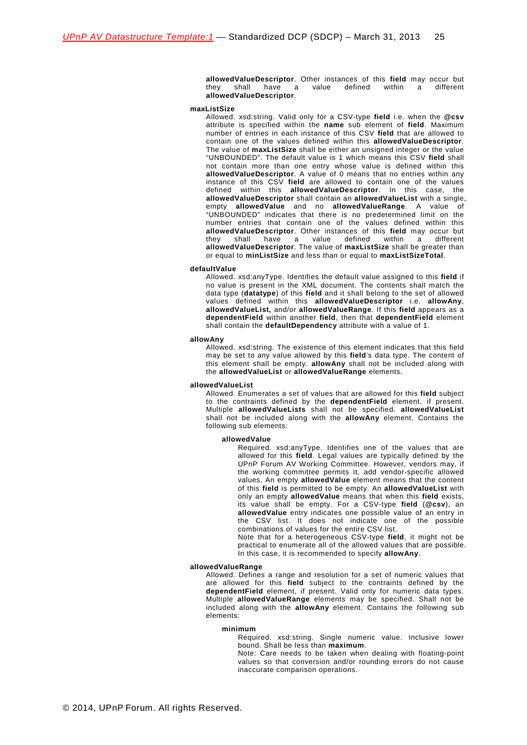**allowedValueDescriptor**. Other instances of this **field** may occur but  $thev$  shall have a value defined **allowedValueDescriptor**.

#### **maxListSize**

Allowed. xsd:string. Valid only for a CSV-type **field** i.e. when the **@csv** attribute is specified within the **name** sub element of **field**. Maximum number of entries in each instance of this CSV **field** that are allowed to contain one of the values defined within this **allowedValueDescriptor**. The value of **maxListSize** shall be either an unsigned integer or the value "UNBOUNDED". The default value is 1 which means this CSV **field** shall not contain more than one entry whose value is defined within this **allowedValueDescriptor**. A value of 0 means that no entries within any instance of this CSV **field** are allowed to contain one of the values defined within this **allowedValueDescriptor**. In this case, the **allowedValueDescriptor** shall contain an **allowedValueList** with a single, empty **allowedValue** and no **allowedValueRange**. A value of "UNBOUNDED" indicates that there is no predetermined limit on the number entries that contain one of the values defined within this **allowedValueDescriptor.** Other instances of this **field** may occur but they shall have a value defined within a different they shall have a value defined within  $\overrightarrow{a}$ **allowedValueDescriptor**. The value of **maxListSize** shall be greater than or equal to **minListSize** and less than or equal to **maxListSizeTotal**.

#### **defaultValue**

Allowed. xsd:anyType. Identifies the default value assigned to this **field** if no value is present in the XML document. The contents shall match the data type (**datatype**) of this **field** and it shall belong to the set of allowed values defined within this **allowedValueDescriptor** i.e. **allowAny**, **allowedValueList,** and/or **allowedValueRange**. If this **field** appears as a **dependentField** within another **field**, then that **dependentField** element shall contain the **defaultDependency** attribute with a value of 1.

#### **allowAny**

Allowed. xsd:string. The existence of this element indicates that this field may be set to any value allowed by this **field**'s data type. The content of this element shall be empty. **allowAny** shall not be included along with the **allowedValueList** or **allowedValueRange** elements.

#### **allowedValueList**

Allowed. Enumerates a set of values that are allowed for this **field** subject to the contraints defined by the **dependentField** element, if present. Multiple **allowedValueLists** shall not be specified. **allowedValueList** shall not be included along with the **allowAny** element. Contains the following sub elements:

#### **allowedValue**

Required. xsd:anyType. Identifies one of the values that are allowed for this **field**. Legal values are typically defined by the UPnP Forum AV Working Committee. However, vendors may, if the working committee permits it, add vendor-specific allowed values. An empty **allowedValue** element means that the content of this **field** is permitted to be empty. An **allowedValueList** with only an empty **allowedValue** means that when this **field** exists, its value shall be empty. For a CSV-type **field** (**@csv**), an **allowedValue** entry indicates one possible value of an entry in the CSV list. It does not indicate one of the possible combinations of values for the entire CSV list.

Note that for a heterogeneous CSV-type **field**, it might not be practical to enumerate all of the allowed values that are possible. In this case, it is recommended to specify **allowAny**.

#### **allowedValueRange**

Allowed. Defines a range and resolution for a set of numeric values that are allowed for this **field** subject to the contraints defined by the **dependentField** element, if present. Valid only for numeric data types. Multiple **allowedValueRange** elements may be specified. Shall not be included along with the **allowAny** element. Contains the following sub elements:

#### **minimum**

Required. xsd:string. Single numeric value. Inclusive lower bound. Shall be less than **maximum**.

Note: Care needs to be taken when dealing with floating-point values so that conversion and/or rounding errors do not cause inaccurate comparison operations.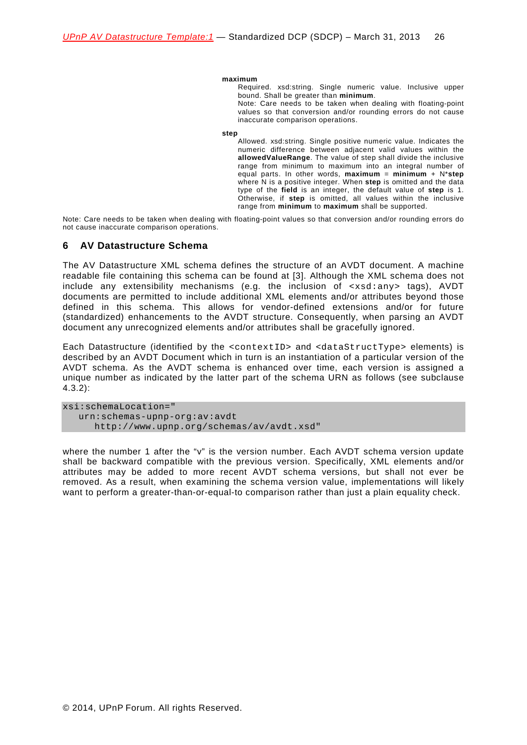#### **maximum**

Required. xsd:string. Single numeric value. Inclusive upper bound. Shall be greater than **minimum**.

Note: Care needs to be taken when dealing with floating-point values so that conversion and/or rounding errors do not cause inaccurate comparison operations.

#### **step**

Allowed. xsd:string. Single positive numeric value. Indicates the numeric difference between adjacent valid values within the **allowedValueRange**. The value of step shall divide the inclusive range from minimum to maximum into an integral number of equal parts. In other words, **maximum** = **minimum** + N\***step** where N is a positive integer. When **step** is omitted and the data type of the **field** is an integer, the default value of **step** is 1. Otherwise, if **step** is omitted, all values within the inclusive range from **minimum** to **maximum** shall be supported.

Note: Care needs to be taken when dealing with floating-point values so that conversion and/or rounding errors do not cause inaccurate comparison operations.

### <span id="page-25-0"></span>**6 AV Datastructure Schema**

The AV Datastructure XML schema defines the structure of an AVDT document. A machine readable file containing this schema can be found at [\[3\]](#page-4-6). Although the XML schema does not include any extensibility mechanisms (e.g. the inclusion of <xsd:any> tags), AVDT documents are permitted to include additional XML elements and/or attributes beyond those defined in this schema. This allows for vendor-defined extensions and/or for future (standardized) enhancements to the AVDT structure. Consequently, when parsing an AVDT document any unrecognized elements and/or attributes shall be gracefully ignored.

Each Datastructure (identified by the <contextID> and <dataStructType> elements) is described by an AVDT Document which in turn is an instantiation of a particular version of the AVDT schema. As the AVDT schema is enhanced over time, each version is assigned a unique number as indicated by the latter part of the schema URN as follows (see subclause [4.3.2\)](#page-16-0):

xsi:schemaLocation=" urn:schemas-upnp-org:av:avdt http://www.upnp.org/schemas/av/avdt.xsd"

where the number 1 after the "v" is the version number. Each AVDT schema version update shall be backward compatible with the previous version. Specifically, XML elements and/or attributes may be added to more recent AVDT schema versions, but shall not ever be removed. As a result, when examining the schema version value, implementations will likely want to perform a greater-than-or-equal-to comparison rather than just a plain equality check.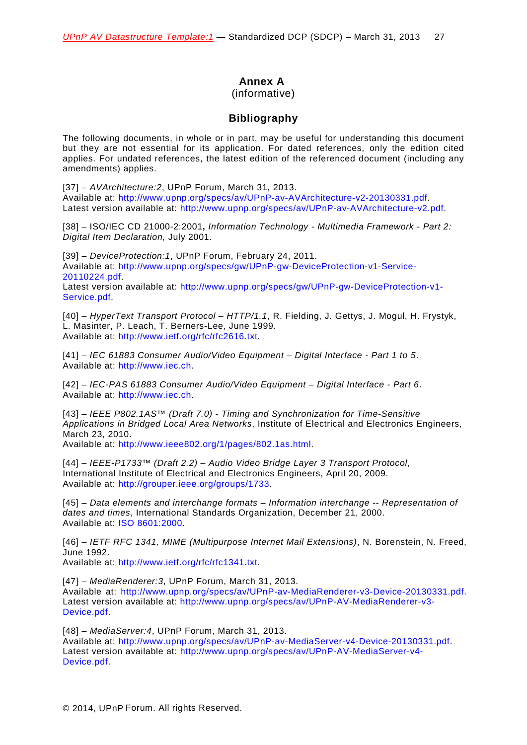# **Annex A**

### (informative)

# **Bibliography**

<span id="page-26-0"></span>The following documents, in whole or in part, may be useful for understanding this document but they are not essential for its application. For dated references, only the edition cited applies. For undated references, the latest edition of the referenced document (including any amendments) applies.

[37] – *AVArchitecture:2*, UPnP Forum, March 31, 2013. Available at: [http://www.upnp.org/specs/av/UPnP-av-AVArchitecture-v2-20130331.pdf.](http://www.upnp.org/specs/av/UPnP-av-AVArchitecture-v2-20101231.pdf) Latest version available at: [http://www.upnp.org/specs/av/UPnP-av-AVArchitecture-v2.pdf.](http://www.upnp.org/specs/av/UPnP-av-AVArchitecture-v2.pdf)

[38] – ISO/IEC CD 21000-2:2001**,** *Information Technology - Multimedia Framework - Part 2: Digital Item Declaration,* July 2001.

[39] – *DeviceProtection:1*, UPnP Forum, February 24, 2011. Available at: [http://www.upnp.org/specs/gw/UPnP-gw-DeviceProtection-v1-Service-](http://www.upnp.org/specs/gw/UPnP-gw-DeviceProtection-v1-Service-20110224.pdf)[20110224.pdf.](http://www.upnp.org/specs/gw/UPnP-gw-DeviceProtection-v1-Service-20110224.pdf)

Latest version available at: [http://www.upnp.org/specs/gw/UPnP-gw-DeviceProtection-v1-](http://www.upnp.org/specs/gw/UPnP-gw-DeviceProtection-v1-Service.pdf) [Service.pdf.](http://www.upnp.org/specs/gw/UPnP-gw-DeviceProtection-v1-Service.pdf)

[40] – *HyperText Transport Protocol – HTTP/1.1*, R. Fielding, J. Gettys, J. Mogul, H. Frystyk, L. Masinter, P. Leach, T. Berners-Lee, June 1999. Available at: [http://www.ietf.org/rfc/rfc2616.txt.](http://www.ietf.org/rfc/rfc2616.txt)

[41] – *IEC 61883 Consumer Audio/Video Equipment – Digital Interface - Part 1 to 5*. Available at: [http://www.iec.ch.](http://www.iec.ch/)

[42] – *IEC-PAS 61883 Consumer Audio/Video Equipment – Digital Interface - Part 6*. Available at: [http://www.iec.ch.](http://www.iec.ch/)

[43] – *IEEE P802.1AS™ (Draft 7.0) - Timing and Synchronization for Time-Sensitive Applications in Bridged Local Area Networks*, Institute of Electrical and Electronics Engineers, March 23, 2010.

Available at: [http://www.ieee802.org/1/pages/802.1as.html.](http://www.ieee802.org/1/pages/802.1as.html)

[44] – *IEEE-P1733™ (Draft 2.2) – Audio Video Bridge Layer 3 Transport Protocol*, International Institute of Electrical and Electronics Engineers, April 20, 2009. Available at: [http://grouper.ieee.org/groups/1733.](http://grouper.ieee.org/groups/1733)

[45] – *Data elements and interchange formats – Information interchange -- Representation of dates and times*, International Standards Organization, December 21, 2000. Available at: [ISO 8601:2000.](http://www.iso.org/iso/en/CatalogueDetailPage.CatalogueDetail?CSNUMBER=26780&ICS1=1&ICS2=140&ICS3=30)

[46] – *IETF RFC 1341, MIME (Multipurpose Internet Mail Extensions)*, N. Borenstein, N. Freed, June 1992.

Available at: [http://www.ietf.org/rfc/rfc1341.txt.](http://www.ietf.org/rfc/rfc1341.txt)

[47] – *MediaRenderer:3*, UPnP Forum, March 31, 2013. Available at: [http://www.upnp.org/specs/av/UPnP-av-MediaRenderer-v3-Device-20130331.pdf.](http://www.upnp.org/specs/av/UPnP-av-MediaRenderer-v3-Device-20101231.pdf) Latest version available at: [http://www.upnp.org/specs/av/UPnP-AV-MediaRenderer-v3-](http://www.upnp.org/specs/av/UPnP-AV-MediaRenderer-v3-Device.pdf)

[48] – *MediaServer:4*, UPnP Forum, March 31, 2013.

Available at: [http://www.upnp.org/specs/av/UPnP-av-MediaServer-v4-Device-20130331.pdf.](http://www.upnp.org/specs/av/UPnP-av-MediaServer-v4-Device-20101231.pdf) Latest version available at: [http://www.upnp.org/specs/av/UPnP-AV-MediaServer-v4-](http://www.upnp.org/specs/av/UPnP-AV-MediaServer-v4-Device.pdf) [Device.pdf.](http://www.upnp.org/specs/av/UPnP-AV-MediaServer-v4-Device.pdf)

[Device.pdf.](http://www.upnp.org/specs/av/UPnP-AV-MediaRenderer-v3-Device.pdf)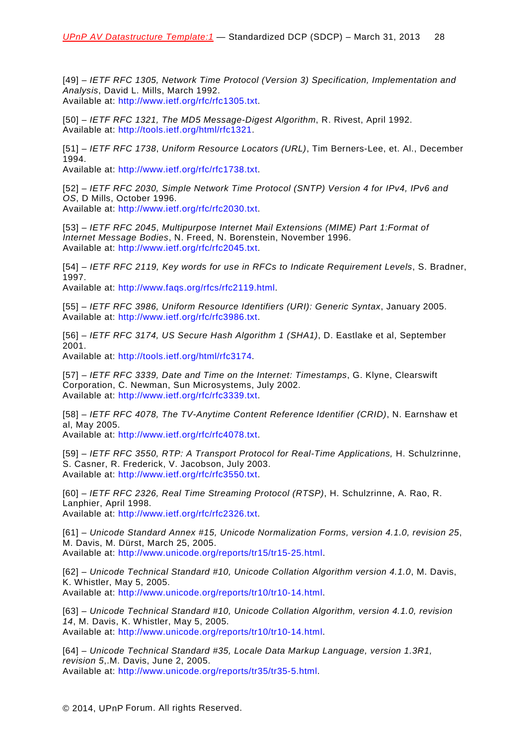[49] – *IETF RFC 1305, Network Time Protocol (Version 3) Specification, Implementation and Analysis*, David L. Mills, March 1992. Available at: [http://www.ietf.org/rfc/rfc1305.txt.](http://www.ietf.org/rfc/rfc1305.txt)

[50] – *IETF RFC 1321, The MD5 Message-Digest Algorithm*, R. Rivest, April 1992. Available at: [http://tools.ietf.org/html/rfc1321.](http://tools.ietf.org/html/rfc1321)

[51] – *IETF RFC 1738*, *Uniform Resource Locators (URL)*, Tim Berners-Lee, et. Al., December 1994.

Available at: [http://www.ietf.org/rfc/rfc1738.txt.](http://www.ietf.org/rfc/rfc1738.txt)

[52] – *IETF RFC 2030, Simple Network Time Protocol (SNTP) Version 4 for IPv4, IPv6 and OS*, D Mills, October 1996. Available at: [http://www.ietf.org/rfc/rfc2030.txt.](http://www.ietf.org/rfc/rfc2030.txt)

[53] – *IETF RFC 2045*, *Multipurpose Internet Mail Extensions (MIME) Part 1:Format of Internet Message Bodies*, N. Freed, N. Borenstein, November 1996. Available at: [http://www.ietf.org/rfc/rfc2045.txt.](http://www.ietf.org/rfc/rfc2045.txt)

[54] – *IETF RFC 2119, Key words for use in RFCs to Indicate Requirement Levels*, S. Bradner, 1997.

Available at: [http://www.faqs.org/rfcs/rfc2119.html.](http://www.faqs.org/rfcs/rfc2119.html)

[55] – *IETF RFC 3986, Uniform Resource Identifiers (URI): Generic Syntax*, January 2005. Available at: [http://www.ietf.org/rfc/rfc3986.txt.](http://www.ietf.org/rfc/rfc3986.txt)

[56] – *IETF RFC 3174, US Secure Hash Algorithm 1 (SHA1)*, D. Eastlake et al, September 2001.

Available at: [http://tools.ietf.org/html/rfc3174.](http://tools.ietf.org/html/rfc3174)

[57] – *IETF RFC 3339, Date and Time on the Internet: Timestamps*, G. Klyne, Clearswift Corporation, C. Newman, Sun Microsystems, July 2002. Available at: [http://www.ietf.org/rfc/rfc3339.txt.](http://www.ietf.org/rfc/rfc3339.txt)

[58] – *IETF RFC 4078, The TV-Anytime Content Reference Identifier (CRID)*, N. Earnshaw et al, May 2005. Available at: [http://www.ietf.org/rfc/rfc4078.txt.](http://www.ietf.org/rfc/rfc4078.txt)

[59] – *IETF RFC 3550, RTP: A Transport Protocol for Real-Time Applications,* H. Schulzrinne, S. Casner, R. Frederick, V. Jacobson, July 2003.

Available at: [http://www.ietf.org/rfc/rfc3550.txt.](http://www.ietf.org/rfc/rfc3550.txt)

[60] – *IETF RFC 2326, Real Time Streaming Protocol (RTSP)*, H. Schulzrinne, A. Rao, R. Lanphier, April 1998. Available at: [http://www.ietf.org/rfc/rfc2326.txt.](http://www.ietf.org/rfc/rfc2326.txt)

[61] – *Unicode Standard Annex #15, Unicode Normalization Forms, version 4.1.0, revision 25*, M. Davis, M. Dürst, March 25, 2005. Available at: [http://www.unicode.org/reports/tr15/tr15-25.html.](http://www.unicode.org/reports/tr15/tr15-25.html)

[62] – *Unicode Technical Standard #10, Unicode Collation Algorithm version 4.1.0*, M. Davis, K. Whistler, May 5, 2005. Available at: [http://www.unicode.org/reports/tr10/tr10-14.html.](http://www.unicode.org/reports/tr10/tr10-14,html)

[63] – *Unicode Technical Standard #10, Unicode Collation Algorithm, version 4.1.0, revision 14*, M. Davis, K. Whistler, May 5, 2005. Available at: [http://www.unicode.org/reports/tr10/tr10-14.html.](http://www.unicode.org/reports/tr10/tr10-14.html)

[64] – *Unicode Technical Standard #35, Locale Data Markup Language, version 1.3R1, revision 5*,.M. Davis, June 2, 2005. Available at: [http://www.unicode.org/reports/tr35/tr35-5.html.](http://www.unicode.org/reports/tr35/tr35-5.html)